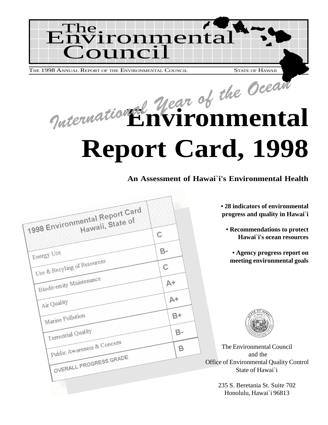

International Year of the Ocean **Report Card, 1998**

**An Assessment of Hawai`i's Environmental Health**

| 1998 Environmental Report Card<br>С                                                                                                 | • 28 indicators of environmental<br>progress and quality in Hawai`i<br><b>• Recommendations to protect</b><br>Hawai'i's ocean resources |
|-------------------------------------------------------------------------------------------------------------------------------------|-----------------------------------------------------------------------------------------------------------------------------------------|
| $B-$<br>Energy Use<br>Use & Recyling of Resources<br>С<br>Biodiversity Maintenance<br>$A+$<br>$A+$                                  | • Agency progress report on<br>meeting environmental goals                                                                              |
| Air Quality<br>$B+$<br>Marine Pollution<br>Terrestrial Quality<br>$B-$<br>Public Awareness & Concern<br>B<br>OVERALL PROGRESS GRADE | The Environmental Council<br>and the<br>Office of Environmental Quality Control<br>State of Hawai`i                                     |
|                                                                                                                                     | 235 S. Beretania St. Suite 702<br>Honolulu, Hawai`i 96813                                                                               |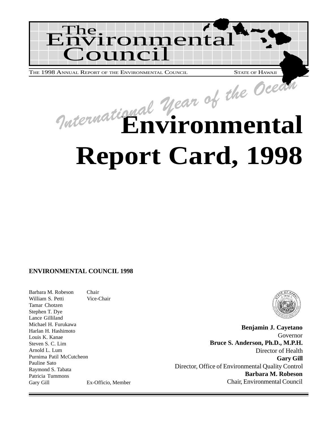

THE 1998 ANNUAL REPORT OF THE ENVIRONMENTAL COUNCIL STATE OF HAWAII

# **Environmental Report Card, 1998** International Year of the Ocean

### **ENVIRONMENTAL COUNCIL 1998**

Barbara M. Robeson Chair William S. Petti Vice-Chair Tamar Chotzen Stephen T. Dye Lance Gilliland Michael H. Furukawa Harlan H. Hashimoto Louis K. Kanae Steven S. C. Lim Arnold L. Lum Purnima Patil McCutcheon Pauline Sato Raymond S. Tabata Patricia Tummons Gary Gill Ex-Officio, Member



**Benjamin J. Cayetano** Governor **Bruce S. Anderson, Ph.D., M.P.H.** Director of Health **Gary Gill** Director, Office of Environmental Quality Control **Barbara M. Robeson** Chair, Environmental Council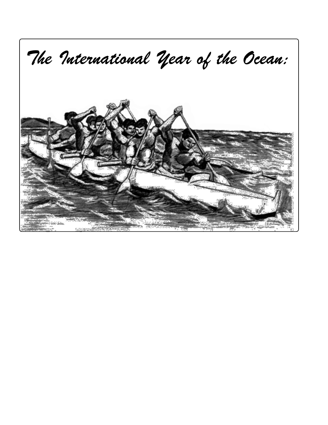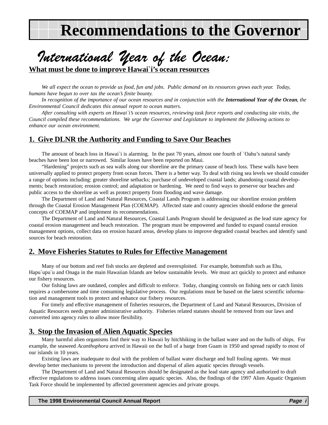## **Recommendations to the Governor**

## <span id="page-4-0"></span>International Year of the Ocean:

**What must be done to improve Hawai`i's ocean resources**

*We all expect the ocean to provide us food, fun and jobs. Public demand on its resources grows each year. Today, humans have begun to over tax the ocean's finite bounty.*

In recognition of the importance of our ocean resources and in conjunction with the **International Year of the Ocean**, the *Environmental Council dedicates this annual report to ocean matters.*

*After consulting with experts on Hawai`i's ocean resources, reviewing task force reports and conducting site visits, the Council compiled these recommendations. We urge the Governor and Legislature to implement the following actions to enhance our ocean environment.*

## **1. Give DLNR the Authority and Funding to Save Our Beaches**

The amount of beach loss in Hawai`i is alarming. In the past 70 years, almost one fourth of `Oahu's natural sandy beaches have been lost or narrowed. Similar losses have been reported on Maui.

"Hardening" projects such as sea walls along our shoreline are the primary cause of beach loss. These walls have been universally applied to protect property from ocean forces. There is a better way. To deal with rising sea levels we should consider a range of options including: greater shoreline setbacks; purchase of undeveloped coastal lands; abandoning coastal developments; beach restoration; erosion control; and adaptation or hardening. We need to find ways to preserve our beaches and public access to the shoreline as well as protect property from flooding and wave damage.

The Department of Land and Natural Resources, Coastal Lands Program is addressing our shoreline erosion problem through the Coastal Erosion Management Plan (COEMAP). Affected state and county agencies should endorse the general concepts of COEMAP and implement its recommendations.

The Department of Land and Natural Resources, Coastal Lands Program should be designated as the lead state agency for coastal erosion management and beach restoration. The program must be empowered and funded to expand coastal erosion management options, collect data on erosion hazard areas, develop plans to improve degraded coastal beaches and identify sand sources for beach restoration.

### **2. Move Fisheries Statutes to Rules for Effective Management**

Many of our bottom and reef fish stocks are depleted and overexploited. For example, bottomfish such as Ehu, Hapu`upu`u and Onaga in the main Hawaiian Islands are below sustainable levels. We must act quickly to protect and enhance our fishery resources.

Our fishing laws are outdated, complex and difficult to enforce. Today, changing controls on fishing nets or catch limits requires a cumbersome and time consuming legislative process. Our regulations must be based on the latest scientific information and management tools to protect and enhance our fishery resources.

For timely and effective management of fisheries resources, the Department of Land and Natural Resources, Division of Aquatic Resources needs greater administrative authority. Fisheries related statutes should be removed from our laws and converted into agency rules to allow more flexibility.

## **3. Stop the Invasion of Alien Aquatic Species**

Many harmful alien organisms find their way to Hawaii by hitchhiking in the ballast water and on the hulls of ships. For example, the seaweed *Acanthophora* arrived in Hawaii on the hull of a barge from Guam in 1950 and spread rapidly to most of our islands in 10 years.

Existing laws are inadequate to deal with the problem of ballast water discharge and hull fouling agents. We must develop better mechanisms to prevent the introduction and dispersal of alien aquatic species through vessels.

The Department of Land and Natural Resources should be designated as the lead state agency and authorized to draft effective regulations to address issues concerning alien aquatic species. Also, the findings of the 1997 Alien Aquatic Organism Task Force should be implemented by affected government agencies and private groups.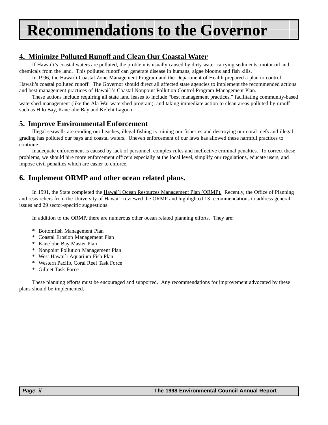## **Recommendations to the Governor**

## **4. Minimize Polluted Runoff and Clean Our Coastal Water**

If Hawai`i's coastal waters are polluted, the problem is usually caused by dirty water carrying sediments, motor oil and chemicals from the land. This polluted runoff can generate disease in humans, algae blooms and fish kills.

In 1996, the Hawai`i Coastal Zone Management Program and the Department of Health prepared a plan to control Hawaii's coastal polluted runoff. The Governor should direct all affected state agencies to implement the recommended actions and best management practices of Hawai`i's Coastal Nonpoint Pollution Control Program Management Plan.

These actions include requiring all state land leases to include "best management practices," facilitating community-based watershed management (like the Ala Wai watershed program), and taking immediate action to clean areas polluted by runoff such as Hilo Bay, Kane`ohe Bay and Ke`ehi Lagoon.

## **5. Improve Environmental Enforcement**

Illegal seawalls are eroding our beaches, illegal fishing is ruining our fisheries and destroying our coral reefs and illegal grading has polluted our bays and coastal waters. Uneven enforcement of our laws has allowed these harmful practices to continue.

Inadequate enforcement is caused by lack of personnel, complex rules and ineffective criminal penalties. To correct these problems, we should hire more enforcement officers especially at the local level, simplify our regulations, educate users, and impose civil penalties which are easier to enforce.

## **6. Implement ORMP and other ocean related plans.**

In 1991, the State completed the Hawai`i Ocean Resources Management Plan (ORMP). Recently, the Office of Planning and researchers from the University of Hawai`i reviewed the ORMP and highlighted 13 recommendations to address general issues and 29 sector-specific suggestions.

In addition to the ORMP, there are numerous other ocean related planning efforts. They are:

- \* Bottomfish Management Plan
- \* Coastal Erosion Management Plan
- \* Kane`ohe Bay Master Plan
- \* Nonpoint Pollution Management Plan
- \* West Hawai`i Aquarium Fish Plan
- \* Western Pacific Coral Reef Task Force
- \* Gillnet Task Force

These planning efforts must be encouraged and supported. Any recommendations for improvement advocated by these plans should be implemented.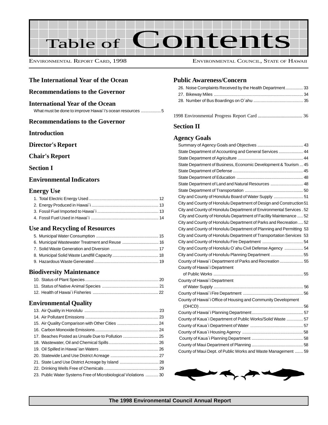

ENVIRONMENTAL REPORT CARD, 1998 ENVIRONMENTAL COUNCIL, STATE OF HAWAII

### **The International Year of the Ocean**

### **[Recommendations to the Governor](#page-4-0)**

#### **International Year of the Ocean**

What must be done to improve Hawai`i's ocean resources ..................5

### **Recommendations to the Governor**

#### **Introduction**

#### **Director's Report**

### **Chair's Report**

### **Section I**

### **Environmental Indicators**

#### **Energy Use**

#### **Use and Recycling of Resources**

### **Biodiversity Maintenance**

### **Environmental Quality**

| 23. Public Water Systems Free of Microbiological Violations  30 |  |
|-----------------------------------------------------------------|--|
|                                                                 |  |

### **Public Awareness/Concern**

| 26. Noise Complaints Received by the Health Department33 |  |
|----------------------------------------------------------|--|
|                                                          |  |
|                                                          |  |

[1998 Environmental Progress Report Card ..................................... 36](#page-35-0)

#### **Section II**

#### **Agency Goals**

| State Department of Accounting and General Services  44               |  |
|-----------------------------------------------------------------------|--|
|                                                                       |  |
| State Department of Business, Economic Development & Tourism  45      |  |
|                                                                       |  |
|                                                                       |  |
| State Department of Land and Natural Resources  48                    |  |
|                                                                       |  |
| City and County of Honolulu Board of Water Supply  51                 |  |
| City and County of Honolulu Department of Design and Construction 51  |  |
| City and County of Honolulu Department of Environmental Services . 52 |  |
| City and County of Honolulu Department of Facility Maintenance  52    |  |
| City and County of Honolulu Department of Parks and Recreation  52    |  |
| City and County of Honolulu Department of Planning and Permitting 53  |  |
| City and County of Honolulu Department of Transportation Services 53  |  |
|                                                                       |  |
| City and County of Honolulu O'ahu Civil Defense Agency  54            |  |
|                                                                       |  |
| County of Hawai'i Department of Parks and Recreation  55              |  |
| County of Hawai'i Department                                          |  |
|                                                                       |  |
| County of Hawai'i Department                                          |  |
|                                                                       |  |
|                                                                       |  |
| County of Hawai'i Office of Housing and Community Development         |  |
|                                                                       |  |
|                                                                       |  |
| County of Kaua'i Department of Public Works/Solid Waste  57           |  |
|                                                                       |  |
|                                                                       |  |
|                                                                       |  |
|                                                                       |  |
| County of Maui Dept. of Public Works and Waste Management  59         |  |

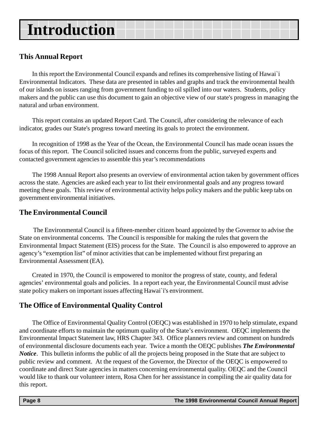## **Introduction**

## **This Annual Report**

In this report the Environmental Council expands and refines its comprehensive listing of Hawai`i Environmental Indicators. These data are presented in tables and graphs and track the environmental health of our islands on issues ranging from government funding to oil spilled into our waters. Students, policy makers and the public can use this document to gain an objective view of our state's progress in managing the natural and urban environment.

This report contains an updated Report Card. The Council, after considering the relevance of each indicator, grades our State's progress toward meeting its goals to protect the environment.

In recognition of 1998 as the Year of the Ocean, the Environmental Council has made ocean issues the focus of this report. The Council solicited issues and concerns from the public, surveyed experts and contacted government agencies to assemble this year's recommendations

The 1998 Annual Report also presents an overview of environmental action taken by government offices across the state. Agencies are asked each year to list their environmental goals and any progress toward meeting these goals. This review of environmental activity helps policy makers and the public keep tabs on government environmental initiatives.

## **The Environmental Council**

The Environmental Council is a fifteen-member citizen board appointed by the Governor to advise the State on environmental concerns. The Council is responsible for making the rules that govern the Environmental Impact Statement (EIS) process for the State. The Council is also empowered to approve an agency's "exemption list" of minor activities that can be implemented without first preparing an Environmental Assessment (EA).

Created in 1970, the Council is empowered to monitor the progress of state, county, and federal agencies' environmental goals and policies. In a report each year, the Environmental Council must advise state policy makers on important issues affecting Hawai`i's environment.

## **The Office of Environmental Quality Control**

The Office of Environmental Quality Control (OEQC) was established in 1970 to help stimulate, expand and coordinate efforts to maintain the optimum quality of the State's environment. OEQC implements the Environmental Impact Statement law, HRS Chapter 343. Office planners review and comment on hundreds of environmental disclosure documents each year. Twice a month the OEQC publishes *The Environmental Notice*. This bulletin informs the public of all the projects being proposed in the State that are subject to public review and comment. At the request of the Governor, the Director of the OEQC is empowered to coordinate and direct State agencies in matters concerning environmental quality. OEQC and the Council would like to thank our volunteer intern, Rosa Chen for her asssistance in compiling the air quality data for this report.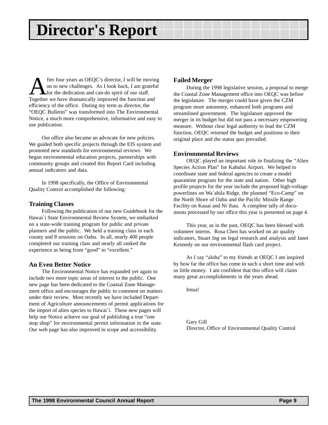## **Director's Report**

fter four years as OEQC's director, I will be moving on to new challenges. As I look back, I am grateful for the dedication and can-do spirit of our staff. Together we have dramatically improved the function and efficiency of the office. During my term as director, the "OEQC Bulletin" was transformed into The Environmental Notice, a much more comprehensive, informative and easy to use publication.

Our office also became an advocate for new policies. We guided both specific projects through the EIS system and promoted new standards for environmental reviews. We began environmental education projects, partnerships with community groups and created this Report Card including annual indicators and data.

In 1998 specifically, the Office of Environmental Quality Control accomplished the following:

#### **Training Classes**

Following the publication of our new Guidebook for the Hawai`i State Environmental Review System, we embarked on a state-wide training program for public and private planners and the public. We held a training class in each county and 8 sessions on Oahu. In all, nearly 400 people completed our training class and nearly all ranked the experience as being from "good" to "excellent."

#### **An Even Better Notice**

The Environmental Notice has expanded yet again to include two more topic areas of interest to the public. One new page has been dedicated to the Coastal Zone Management office and encourages the public to comment on matters under their review. Most recently we have included Department of Agriculture announcements of permit applications for the import of alien species to Hawai`i. These new pages will help our Notice achieve our goal of publishing a true "one stop shop" for environmental permit information in the state. Our web page has also improved in scope and accessibility.

### **Failed Merger**

During the 1998 legislative session, a proposal to merge the Coastal Zone Management office into OEQC was before the legislature. The merger could have given the CZM program more autonomy, enhanced both programs and streamlined government. The legislature approved the merger in its budget but did not pass a necessary empowering measure. Without clear legal authority to lead the CZM function, OEQC returned the budget and positions to their original place and the status quo prevailed.

### **Environmental Reviews**

OEQC played an important role in finalizing the "Alien Species Action Plan" for Kahului Airport. We helped to coordinate state and federal agencies to create a model quarantine program for the state and nation. Other high profile projects for the year include the proposed high-voltage powerlines on Wa`ahila Ridge, the planned "Eco-Camp" on the North Shore of Oahu and the Pacific Missile Range Facility on Kauai and Ni`ihau. A complete tally of documents processed by our office this year is presented on page 4.

This year, as in the past, OEQC has been blessed with volunteer interns. Rosa Chen has worked on air quality indicators, Stuart Ing on legal research and analysis and Janet Kennedy on our environmental flash card project.

As I say "aloha" to my friends at OEQC I am inspired by how far the office has come in such a short time and with so little money. I am confident that this office will claim many great accomplishments in the years ahead.

Imua!

Gary Gill Director, Office of Environmental Quality Control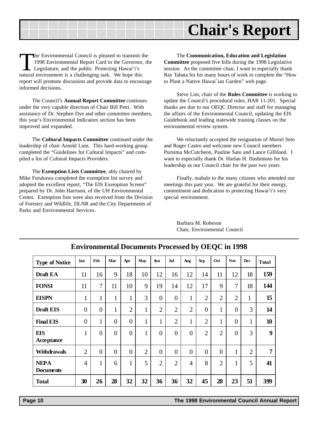## **Chair's Report**

The Environmental Council is pleased to transmit the 1998 Environmental Report Card to the Governor, the Legislature, and the public. Protecting Hawai'i's natural environment is a challenging task. We hope this report will promote discussion and provide data to encourage informed decisions.

The Council's **Annual Report Committee** continues under the very capable direction of Chair Bill Petti. With assistance of Dr. Stephen Dye and other committee members, this year's Environmental Indicators section has been improved and expanded.

The **Cultural Impacts Committee** continued under the leadership of chair Arnold Lum. This hard-working group completed the "Guidelines for Cultural Impacts" and compiled a list of Cultural Impacts Providers.

The **Exemption Lists Committee**, ably chaired by Mike Furukawa completed the exemption list survey and adopted the excellent report, "The EIS Exemption Screen" prepared by Dr. John Harrison, of the UH Environmental Center. Exemption lists were also received from the Division of Forestry and Wildlife, DLNR and the City Departments of Parks and Environmental Services.

The **Communication, Education and Legislation Committee** proposed five bills during the 1998 Legislative session. As the committee chair, I want to especially thank Ray Tabata for his many hours of work to complete the "How to Plant a Native Hawai`ian Garden" web page.

Steve Lim, chair of the **Rules Committee** is working to update the Council's procedural rules, HAR 11-201. Special thanks are due to our OEQC Director and staff for managing the affairs of the Environmental Council, updating the EIS Guidebook and leading statewide training classes on the environmental review system.

We reluctantly accepted the resignation of Muriel Seto and Roger Castro and welcome new Council members Purnima McCutcheon, Pauline Sato and Lance Gilliland. I want to especially thank Dr. Harlan H. Hashimoto for his leadership as our Council chair for the past two years.

Finally, mahalo to the many citizens who attended our meetings this past year. We are grateful for their energy, commitment and dedication to protecting Hawai'i's very special environment.

Barbara M. Robeson Chair, Environmental Council

| <b>Type of Notice</b>           | <b>Jan</b>     | Feb            | Mar            | Apr            | May            | Jun            | Jul            | Aug            | <b>Sep</b>     | Oct            | <b>Nov</b>       | Dec            | Total          |
|---------------------------------|----------------|----------------|----------------|----------------|----------------|----------------|----------------|----------------|----------------|----------------|------------------|----------------|----------------|
| <b>Draft EA</b>                 | 11             | 16             | 9              | 18             | 10             | 12             | 16             | 12             | 14             | 11             | 12               | 18             | 159            |
| <b>FONSI</b>                    | 11             | $\overline{7}$ | 11             | 10             | 9              | 19             | 14             | 12             | 17             | 9              | $\overline{7}$   | 18             | 144            |
| <b>EISPN</b>                    | $\mathbf{1}$   | 1              | 1              | $\mathbf{1}$   | 3              | $\overline{0}$ | $\overline{0}$ | $\mathbf{1}$   | $\overline{2}$ | $\overline{2}$ | $\overline{2}$   | $\mathbf{1}$   | 15             |
| <b>Draft EIS</b>                | $\overline{0}$ | $\overline{0}$ | $\mathbf{1}$   | $\overline{2}$ | $\mathbf{1}$   | $\overline{2}$ | $\overline{2}$ | $\overline{2}$ | $\overline{0}$ | $\mathbf{1}$   | $\overline{0}$   | 3              | 14             |
| <b>Final EIS</b>                | $\overline{0}$ | 1              | $\theta$       | $\overline{0}$ | $\mathbf{1}$   | $\mathbf{1}$   | $\overline{2}$ | $\mathbf{1}$   | $\overline{2}$ | 1              | $\overline{0}$   | $\mathbf{1}$   | 10             |
| <b>EIS</b><br>Acceptance        | $\mathbf{1}$   | $\overline{0}$ | $\overline{0}$ | $\overline{0}$ | $\mathbf{1}$   | $\overline{0}$ | $\overline{0}$ | $\overline{0}$ | $\overline{2}$ | $\overline{2}$ | $\boldsymbol{0}$ | 3              | 9              |
| <b>Withdrawals</b>              | $\overline{2}$ | $\overline{0}$ | $\overline{0}$ | $\overline{0}$ | $\overline{2}$ | $\overline{0}$ | $\overline{0}$ | $\overline{0}$ | $\overline{0}$ | $\overline{0}$ | 1                | $\overline{2}$ | $\overline{7}$ |
| <b>NEPA</b><br><b>Documents</b> | $\overline{4}$ | 1              | 6              | $\mathbf{1}$   | 5              | $\overline{2}$ | $\overline{2}$ | $\overline{4}$ | 8              | $\overline{2}$ | 1                | 5              | 41             |
| <b>Total</b>                    | 30             | 26             | 28             | 32             | 32             | 36             | 36             | 32             | 45             | 28             | 23               | 51             | 399            |

### **Environmental Documents Processed by OEQC in 1998**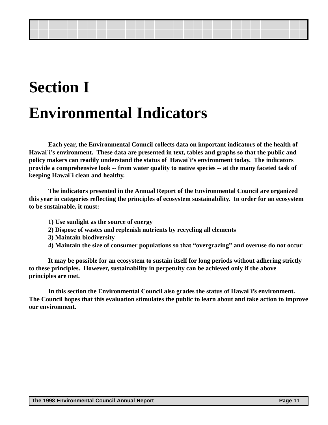## **Section I Environmental Indicators**

**Each year, the Environmental Council collects data on important indicators of the health of Hawai`i's environment. These data are presented in text, tables and graphs so that the public and policy makers can readily understand the status of Hawai`i's environment today. The indicators provide a comprehensive look -- from water quality to native species -- at the many faceted task of keeping Hawai`i clean and healthy.**

**The indicators presented in the Annual Report of the Environmental Council are organized this year in categories reflecting the principles of ecosystem sustainability. In order for an ecosystem to be sustainable, it must:**

- **1) Use sunlight as the source of energy**
- **2) Dispose of wastes and replenish nutrients by recycling all elements**
- **3) Maintain biodiversity**
- **4) Maintain the size of consumer populations so that "overgrazing" and overuse do not occur**

**It may be possible for an ecosystem to sustain itself for long periods without adhering strictly to these principles. However, sustainability in perpetuity can be achieved only if the above principles are met.**

**In this section the Environmental Council also grades the status of Hawai`i's environment. The Council hopes that this evaluation stimulates the public to learn about and take action to improve our environment.**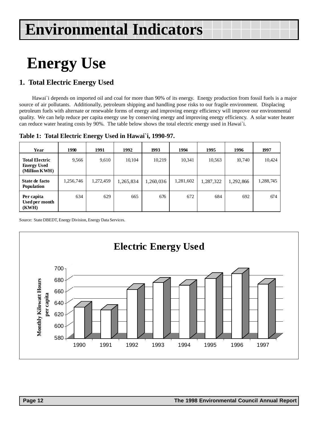## <span id="page-11-0"></span>**Energy Use**

## **1. Total Electric Energy Used**

Hawai`i depends on imported oil and coal for more than 90% of its energy. Energy production from fossil fuels is a major source of air pollutants. Additionally, petroleum shipping and handling pose risks to our fragile environment. Displacing petroleum fuels with alternate or renewable forms of energy and improving energy efficiency will improve our environmental quality. We can help reduce per capita energy use by conserving energy and improving energy efficiency. A solar water heater can reduce water heating costs by 90%. The table below shows the total electric energy used in Hawai`i.

| Table 1: Total Electric Energy Used in Hawai`i, 1990-97. |  |  |  |  |  |  |
|----------------------------------------------------------|--|--|--|--|--|--|
|----------------------------------------------------------|--|--|--|--|--|--|

| Year                                                         | 1990      | 1991      | 1992      | 1993      | 1994      | 1995      | 1996      | 1997      |
|--------------------------------------------------------------|-----------|-----------|-----------|-----------|-----------|-----------|-----------|-----------|
| <b>Total Electric</b><br><b>Energy Used</b><br>(Million KWH) | 9,566     | 9,610     | 10,104    | 10,219    | 10,341    | 10,563    | 10,740    | 10,424    |
| State de facto<br><b>Population</b>                          | 1,256,746 | 1,272,459 | 1,265,834 | 1,260,036 | 1,281,602 | 1,287,322 | 1,292,866 | 1,288,745 |
| Per capita<br>Used per month<br>(KWH)                        | 634       | 629       | 665       | 676       | 672       | 684       | 692       | 674       |

Source: State DBEDT, Energy Division, Energy Data Services.

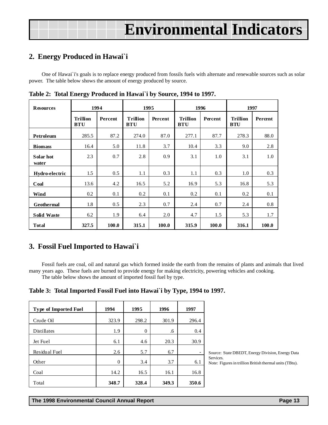## <span id="page-12-0"></span>**2. Energy Produced in Hawai`i**

One of Hawai`i's goals is to replace energy produced from fossils fuels with alternate and renewable sources such as solar power. The table below shows the amount of energy produced by source.

| <b>Resources</b>   | 1994                          |         | 1995                          |         |                               | 1996    | 1997                          |         |
|--------------------|-------------------------------|---------|-------------------------------|---------|-------------------------------|---------|-------------------------------|---------|
|                    | <b>Trillion</b><br><b>BTU</b> | Percent | <b>Trillion</b><br><b>BTU</b> | Percent | <b>Trillion</b><br><b>BTU</b> | Percent | <b>Trillion</b><br><b>BTU</b> | Percent |
| Petroleum          | 285.5                         | 87.2    | 274.0                         | 87.0    | 277.1                         | 87.7    | 278.3                         | 88.0    |
| <b>Biomass</b>     | 16.4                          | 5.0     | 11.8                          | 3.7     | 10.4                          | 3.3     | 9.0                           | 2.8     |
| Solar hot<br>water | 2.3                           | 0.7     | 2.8                           | 0.9     | 3.1                           | 1.0     | 3.1                           | 1.0     |
| Hydro-electric     | 1.5                           | 0.5     | 1.1                           | 0.3     | 1.1                           | 0.3     | 1.0                           | 0.3     |
| Coal               | 13.6                          | 4.2     | 16.5                          | 5.2     | 16.9                          | 5.3     | 16.8                          | 5.3     |
| Wind               | 0.2                           | 0.1     | 0.2                           | 0.1     | 0.2                           | 0.1     | 0.2                           | 0.1     |
| <b>Geothermal</b>  | 1.8                           | 0.5     | 2.3                           | 0.7     | 2.4                           | 0.7     | 2.4                           | 0.8     |
| <b>Solid Waste</b> | 6.2                           | 1.9     | 6.4                           | 2.0     | 4.7                           | 1.5     | 5.3                           | 1.7     |
| <b>Total</b>       | 327.5                         | 100.0   | 315.1                         | 100.0   | 315.9                         | 100.0   | 316.1                         | 100.0   |

**Table 2: Total Energy Produced in Hawai`i by Source, 1994 to 1997.**

## **3. Fossil Fuel Imported to Hawai`i**

Fossil fuels are coal, oil and natural gas which formed inside the earth from the remains of plants and animals that lived many years ago. These fuels are burned to provide energy for making electricity, powering vehicles and cooking.

The table below shows the amount of imported fossil fuel by type.

**Table 3: Total Imported Fossil Fuel into Hawai`i by Type, 1994 to 1997.**

| <b>Type of Imported Fuel</b> | 1994  | 1995  | 1996  | 1997  |
|------------------------------|-------|-------|-------|-------|
| Crude Oil                    | 323.9 | 298.2 | 301.9 | 296.4 |
| Distillates                  | 1.9   | 0     | .6    | 0.4   |
| Jet Fuel                     | 6.1   | 4.6   | 20.3  | 30.9  |
| Residual Fuel                | 2.6   | 5.7   | 6.7   |       |
| Other                        | 0     | 3.4   | 3.7   | 6.1   |
| Coal                         | 14.2  | 16.5  | 16.1  | 16.8  |
| Total                        | 348.7 | 328.4 | 349.3 | 350.6 |

Source: State DBEDT, Energy Division, Energy Data Services. Note: Figures in trillion British thermal units (TBtu).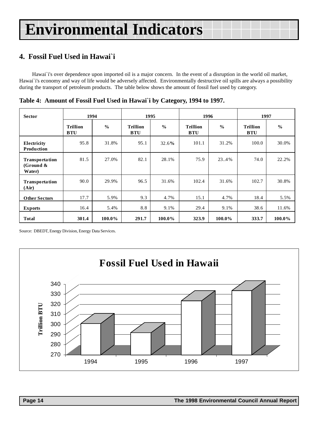## <span id="page-13-0"></span>**4. Fossil Fuel Used in Hawai`i**

Hawai`i's over dependence upon imported oil is a major concern. In the event of a disruption in the world oil market, Hawai`i's economy and way of life would be adversely affected. Environmentally destructive oil spills are always a possibility during the transport of petroleum products. The table below shows the amount of fossil fuel used by category.

| <b>Sector</b>                                   | 1994                          |               |                               | 1995          |                               | 1996          | 1997                          |               |  |
|-------------------------------------------------|-------------------------------|---------------|-------------------------------|---------------|-------------------------------|---------------|-------------------------------|---------------|--|
|                                                 | <b>Trillion</b><br><b>BTU</b> | $\frac{0}{0}$ | <b>Trillion</b><br><b>BTU</b> | $\frac{0}{0}$ | <b>Trillion</b><br><b>BTU</b> | $\frac{0}{0}$ | <b>Trillion</b><br><b>BTU</b> | $\frac{0}{0}$ |  |
| Electricity<br>Production                       | 95.8                          | 31.8%         | 95.1                          | 32.6%         | 101.1                         | 31.2%         | 100.0                         | 30.0%         |  |
| <b>Transportation</b><br>(Ground $\&$<br>Water) | 81.5                          | 27.0%         | 82.1                          | 28.1%         | 75.9                          | 23.4%         | 74.0                          | 22.2%         |  |
| <b>Transportation</b><br>(Air)                  | 90.0                          | 29.9%         | 96.5                          | 31.6%         | 102.4                         | 31.6%         | 102.7                         | 30.8%         |  |
| <b>Other Sectors</b>                            | 17.7                          | 5.9%          | 9.3                           | 4.7%          | 15.1                          | 4.7%          | 18.4                          | 5.5%          |  |
| <b>Exports</b>                                  | 16.4                          | 5.4%          | 8.8                           | 9.1%          | 29.4                          | 9.1%          | 38.6                          | 11.6%         |  |
| <b>Total</b>                                    | 301.4                         | 100.0%        | 291.7                         | 100.0%        | 323.9                         | 100.0%        | 333.7                         | 100.0%        |  |

**Table 4: Amount of Fossil Fuel Used in Hawai`i by Category, 1994 to 1997.**

Source: DBEDT, Energy Division, Energy Data Services.

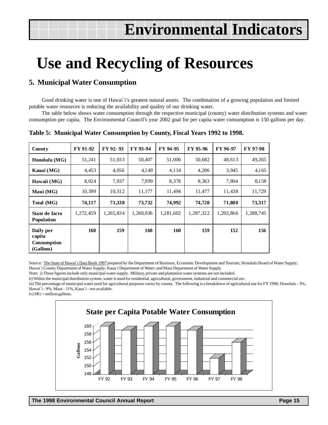## <span id="page-14-0"></span>**Use and Recycling of Resources**

## **5. Municipal Water Consumption**

Good drinking water is one of Hawai`i's greatest natural assets. The combination of a growing population and limited potable water resources is reducing the availability and quality of our drinking water.

The table below shows water consumption through the respective municipal (county) water distribution systems and water consumption per capita. The Environmental Council's year 2002 goal for per capita water consumption is 150 gallons per day.

| <b>County</b>                                   | FY 91-92  | FY 92-93  | FY 93-94  | FY 94-95  | FY 95-96  | FY 96-97  | FY 97-98  |
|-------------------------------------------------|-----------|-----------|-----------|-----------|-----------|-----------|-----------|
| Honolulu (MG)                                   | 51,241    | 51,033    | 50,407    | 51,006    | 50,682    | 48,613    | 49,265    |
| Kauai (MG)                                      | 4,453     | 4,056     | 4,149     | 4,114     | 4,206     | 3,945     | 4,165     |
| Hawaii (MG)                                     | 8,024     | 7,937     | 7,999     | 8,378     | 8,363     | 7,804     | 8,158     |
| Maui (MG)                                       | 10,399    | 10,312    | 11,177    | 11,494    | 11,477    | 11,438    | 11,729    |
| Total (MG)                                      | 74,117    | 73,338    | 73,732    | 74,992    | 74,728    | 71,800    | 73,317    |
| State de facto<br><b>Population</b>             | 1,272,459 | 1,265,834 | 1,260,036 | 1,281,602 | 1,287,322 | 1,292,866 | 1,288,745 |
| Daily per<br>capita<br>Consumption<br>(Gallons) | 160       | 159       | 160       | 160       | 159       | 152       | 156       |

**Table 5: Municipal Water Consumption by County, Fiscal Years 1992 to 1998.**

Source: The State of Hawai'i Data Book 1997 prepared by the Department of Business, Economic Development and Tourism; Honolulu Board of Water Supply; Hawai`i County Department of Water Supply; Kaua`i Department of Water; and Maui Department of Water Supply.

Note: i) These figures include only municipal water supply. Military, private and plantation water systems are not included.

ii) Within the municipal distribution system, water is used for residential, agricultural, government, industrial and commercial use.

iii) The percentage of municipal water used for agricultural purposes varies by county. The following is a breakdown of agricultural use for FY 1996: Honolulu - 3%, Hawai`i - 9%, Maui - 11%, Kaua`i - not available.

iv) MG = million gallons.

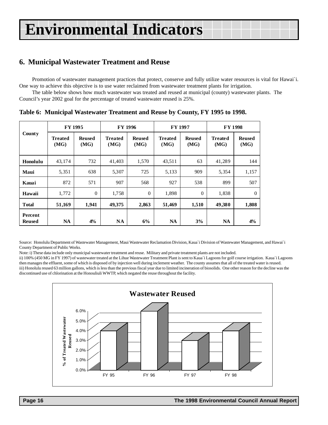## <span id="page-15-0"></span>**6. Municipal Wastewater Treatment and Reuse**

Promotion of wastewater management practices that protect, conserve and fully utilize water resources is vital for Hawai`i. One way to achieve this objective is to use water reclaimed from wastewater treatment plants for irrigation.

The table below shows how much wastewater was treated and reused at municipal (county) wastewater plants. The Council's year 2002 goal for the percentage of treated wastewater reused is 25%.

|                          | FY 1995                |                       |                        | <b>FY 1996</b>        | <b>FY 1997</b>         |                       | <b>FY 1998</b>         |                       |  |
|--------------------------|------------------------|-----------------------|------------------------|-----------------------|------------------------|-----------------------|------------------------|-----------------------|--|
| <b>County</b>            | <b>Treated</b><br>(MG) | <b>Reused</b><br>(MG) | <b>Treated</b><br>(MG) | <b>Reused</b><br>(MG) | <b>Treated</b><br>(MG) | <b>Reused</b><br>(MG) | <b>Treated</b><br>(MG) | <b>Reused</b><br>(MG) |  |
| Honolulu                 | 43,174                 | 732                   | 41,403                 | 1,570                 | 43,511                 | 63                    | 41,289                 | 144                   |  |
| Maui                     | 5,351                  | 638                   | 5,307                  | 725                   | 5,133                  | 909                   | 5,354                  | 1,157                 |  |
| Kauai                    | 872                    | 571                   | 907                    | 568                   | 927                    | 538                   | 899                    | 507                   |  |
| Hawaii                   | 1,772                  | $\Omega$              | 1,758                  | $\theta$              | 1,898                  | $\theta$              | 1,838                  | $\Omega$              |  |
| <b>Total</b>             | 51,169                 | 1,941                 | 49,375                 | 2,863                 | 51,469                 | 1,510                 | 49,380                 | 1,808                 |  |
| Percent<br><b>Reused</b> | <b>NA</b>              | $4\%$                 | <b>NA</b>              | 6%                    | <b>NA</b>              | 3%                    | <b>NA</b>              | $4\%$                 |  |

**Table 6: Municipal Wastewater Treatment and Reuse by County, FY 1995 to 1998.**

Source: Honolulu Department of Wastewater Management, Maui Wastewater Reclamation Division, Kaua`i Division of Wastewater Management, and Hawai`i County Department of Public Works.

Note: i) These data include only municipal wastewater treatment and reuse. Military and private treatment plants are not included.

ii) 100% (450 MG in FY 1997) of wastewater treated at the Lihue Wastewater Treatment Plant is sent to Kaua`i Lagoons for golf course irrigation. Kaua`i Lagoons then manages the effluent, some of which is disposed of by injection well during inclement weather. The county assumes that all of the treated water is reused. iii) Honolulu reused 63 million gallons, which is less than the previous fiscal year due to limited incineration of biosolids. One other reason for the decline was the discontinued use of chlorination at the Honouliuli WWTP, which negated the reuse throughout the facility.

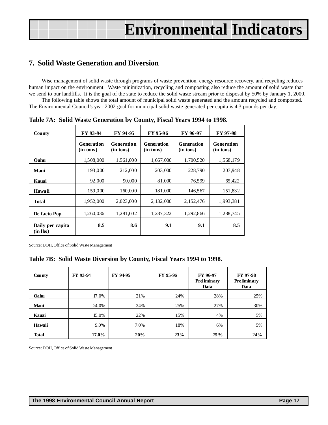## <span id="page-16-0"></span>**7. Solid Waste Generation and Diversion**

Wise management of solid waste through programs of waste prevention, energy resource recovery, and recycling reduces human impact on the environment. Waste minimization, recycling and composting also reduce the amount of solid waste that we send to our landfills. It is the goal of the state to reduce the solid waste stream prior to disposal by 50% by January 1, 2000.

The following table shows the total amount of municipal solid waste generated and the amount recycled and composted. The Environmental Council's year 2002 goal for municipal solid waste generated per capita is 4.3 pounds per day.

| County                       | FY 93-94                       | FY 94-95                | FY 95-96                       | FY 96-97                       | FY 97-98                       |
|------------------------------|--------------------------------|-------------------------|--------------------------------|--------------------------------|--------------------------------|
|                              | <b>Generation</b><br>(in tons) | Generation<br>(in tons) | <b>Generation</b><br>(in tons) | <b>Generation</b><br>(in tons) | <b>Generation</b><br>(in tons) |
| Oahu                         | 1,508,000                      | 1,561,000               | 1,667,000                      | 1,700,520                      | 1,568,179                      |
| Maui                         | 193,000                        | 212,000                 | 203,000                        | 228,790                        | 207,948                        |
| Kauai                        | 92,000                         | 90,000                  | 81,000                         | 76,599                         | 65,422                         |
| Hawaii                       | 159,000                        | 160,000                 | 181,000                        | 146,567                        | 151,832                        |
| Total                        | 1,952,000                      | 2,023,000               | 2,132,000                      | 2, 152, 476                    | 1,993,381                      |
| De facto Pop.                | 1,260,036                      | 1,281,602               | 1,287,322                      | 1,292,866                      | 1,288,745                      |
| Daily per capita<br>(in lbs) | 8.5                            | 8.6                     | 9.1                            | 9.1                            | 8.5                            |

**Table 7A: Solid Waste Generation by County, Fiscal Years 1994 to 1998.**

Source: DOH, Office of Solid Waste Management

### **Table 7B: Solid Waste Diversion by County, Fiscal Years 1994 to 1998.**

| County       | FY 93-94 | FY 94-95 | FY 95-96 | FY 96-97<br>Preliminary<br>Data | FY 97-98<br>Preliminary<br>Data |
|--------------|----------|----------|----------|---------------------------------|---------------------------------|
| Oahu         | 17.0%    | 21%      | 24%      | 28%                             | 25%                             |
| Maui         | 24.0%    | 24%      | 25%      | 27%                             | 30%                             |
| Kauai        | 15.0%    | 22%      | 15%      | 4%                              | 5%                              |
| Hawaii       | 9.0%     | 7.0%     | 18%      | 6%                              | 5%                              |
| <b>Total</b> | 17.0%    | 20%      | 23%      | $25\%$                          | 24%                             |

Source: DOH, Office of Solid Waste Management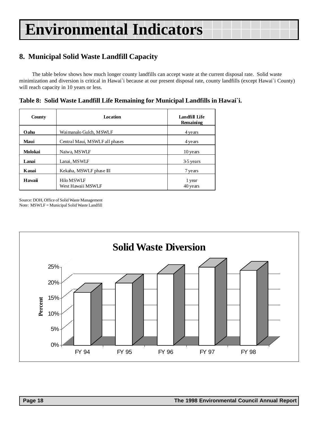## <span id="page-17-0"></span>**8. Municipal Solid Waste Landfill Capacity**

The table below shows how much longer county landfills can accept waste at the current disposal rate. Solid waste minimization and diversion is critical in Hawai`i because at our present disposal rate, county landfills (except Hawai`i County) will reach capacity in 10 years or less.

**Table 8: Solid Waste Landfill Life Remaining for Municipal Landfills in Hawai`i.**

| County  | <b>Location</b>                 | Landfill Life<br><b>Remaining</b> |
|---------|---------------------------------|-----------------------------------|
| Oahu    | Waimanalo Gulch, MSWLF          | 4 years                           |
| Maui    | Central Maui, MSWLF all phases  | 4 years                           |
| Molokai | Naiwa, MSWLF                    | 10 years                          |
| Lanai   | Lanai, MSWLF                    | 3-5 years                         |
| Kauai   | Kekaha, MSWLF phase III         | 7 years                           |
| Hawaii  | Hilo MSWLF<br>West Hawaii MSWLF | 1 year<br>40 years                |

Source: DOH, Office of Solid Waste Management Note: MSWLF = Municipal Solid Waste Landfill

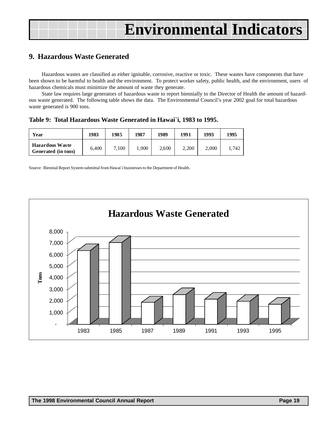## <span id="page-18-0"></span>**9. Hazardous Waste Generated**

Hazardous wastes are classified as either ignitable, corrosive, reactive or toxic. These wastes have components that have been shown to be harmful to health and the environment. To protect worker safety, public health, and the environment, users of hazardous chemicals must minimize the amount of waste they generate.

State law requires large generators of hazardous waste to report biennially to the Director of Health the amount of hazardous waste generated. The following table shows the data. The Environmental Council's year 2002 goal for total hazardous waste generated is 900 tons.

**Table 9: Total Hazardous Waste Generated in Hawai`i, 1983 to 1995.**

| Year                                          | 1983  | 1985  | 1987  | 1989  | 1991  | 1993  | 1995 |
|-----------------------------------------------|-------|-------|-------|-------|-------|-------|------|
| <b>Hazardous Waste</b><br>Generated (in tons) | 6.400 | 7,100 | 1.900 | 2,600 | 2,200 | 2,000 | .742 |

Source: Biennial Report System submittal from Hawai`i businesses to the Department of Health.

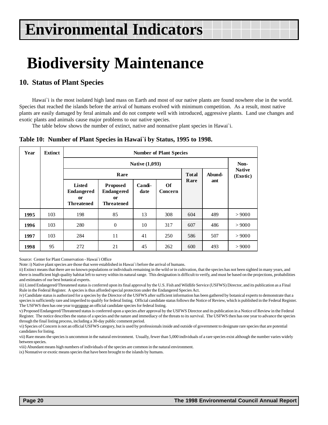## <span id="page-19-0"></span>**Biodiversity Maintenance**

### **10. Status of Plant Species**

Hawai'i is the most isolated high land mass on Earth and most of our native plants are found nowhere else in the world. Species that reached the islands before the arrival of humans evolved with minimum competition. As a result, most native plants are easily damaged by feral animals and do not compete well with introduced, aggressive plants. Land use changes and exotic plants and animals cause major problems to our native species.

The table below shows the number of extinct, native and nonnative plant species in Hawai`i.

|  |  |  |  |  |  |  | Table 10: Number of Plant Species in Hawai'i by Status, 1995 to 1998. |
|--|--|--|--|--|--|--|-----------------------------------------------------------------------|
|--|--|--|--|--|--|--|-----------------------------------------------------------------------|

| Year | <b>Extinct</b> |                                                                      | <b>Number of Plant Species</b>                                         |                |                              |     |     |        |  |  |  |  |
|------|----------------|----------------------------------------------------------------------|------------------------------------------------------------------------|----------------|------------------------------|-----|-----|--------|--|--|--|--|
|      |                |                                                                      | Native (1,093)                                                         |                |                              |     |     |        |  |  |  |  |
|      |                |                                                                      | Rare<br><b>Total</b><br>Abund-                                         |                |                              |     |     |        |  |  |  |  |
|      |                | <b>Listed</b><br><b>Endangered</b><br><b>or</b><br><b>Threatened</b> | <b>Proposed</b><br><b>Endangered</b><br><b>or</b><br><b>Threatened</b> | Candi-<br>date | Rare<br>ant<br>Of<br>Concern |     |     |        |  |  |  |  |
| 1995 | 103            | 198                                                                  | 85                                                                     | 13             | 308                          | 604 | 489 | > 9000 |  |  |  |  |
| 1996 | 103            | 280                                                                  | $\theta$                                                               | 10             | 317                          | 607 | 486 | > 9000 |  |  |  |  |
| 1997 | 103            | 284                                                                  | 11                                                                     | 41             | 250                          | 586 | 507 | > 9000 |  |  |  |  |
| 1998 | 95             | 272                                                                  | 21                                                                     | 45             | 262                          | 600 | 493 | > 9000 |  |  |  |  |

Source: Center for Plant Conservation - Hawai`i Office

Note: i) Native plant species are those that were established in Hawai`i before the arrival of humans.

ii) Extinct means that there are no known populations or individuals remaining in the wild or in cultivation, that the species has not been sighted in many years, and there is insufficient high quality habitat left to survey within its natural range. This designation is difficult to verify, and must be based on the projections, probabilities and estimates of our best botanical experts.

iii) Listed Endangered/Threatened status is conferred upon its final approval by the U.S. Fish and Wildlife Service (USFWS) Director, and its publication as a Final Rule in the Federal Register. A species is thus afforded special protection under the Endangered Species Act.

iv) Candidate status is authorized for a species by the Director of the USFWS after sufficient information has been gathered by botanical experts to demonstrate that a species is sufficiently rare and imperiled to qualify for federal listing. Official candidate status follows the Notice of Review, which is published in the Federal Register. The USFWS then has one year to propose an official candidate species for federal listing.

v) Proposed Endangered/Threatened status is conferred upon a species after approval by the USFWS Director and its publication in a Notice of Review in the Federal Register. The notice describes the status of a species and the nature and immediacy of the threats to its survival. The USFWS then has one year to advance the species through the final listing process, including a 30-day public comment period.

vi) Species of Concern is not an official USFWS category, but is used by professionals inside and outside of government to designate rare species that are potential candidates for listing.

vii) Rare means the species is uncommon in the natural environment. Usually, fewer than 5,000 individuals of a rare species exist although the number varies widely between species.

viii) Abundant means high numbers of individuals of the species are common in the natural environment.

ix) Nonnative or exotic means species that have been brought to the islands by humans.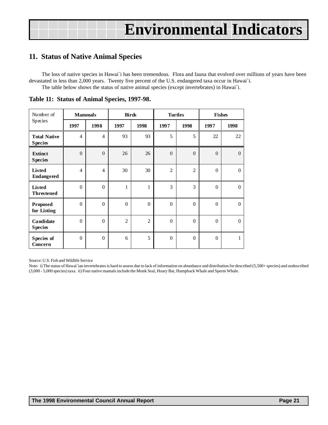## <span id="page-20-0"></span>**11. Status of Native Animal Species**

The loss of native species in Hawai`i has been tremendous. Flora and fauna that evolved over millions of years have been devastated in less than 2,000 years. Twenty five percent of the U.S. endangered taxa occur in Hawai`i. The table below shows the status of native animal species (except invertebrates) in Hawai`i.

| Number of                             | <b>Mammals</b> |                | <b>Birds</b>   |                | <b>Turtles</b> |                | <b>Fishes</b> |              |
|---------------------------------------|----------------|----------------|----------------|----------------|----------------|----------------|---------------|--------------|
| Species                               | 1997           | 1998           | 1997           | 1998           | 1997           | 1998           | 1997          | 1998         |
| <b>Total Native</b><br><b>Species</b> | $\overline{4}$ | $\overline{4}$ | 93             | 93             | 5              | 5              | 22            | 22           |
| <b>Extinct</b><br><b>Species</b>      | $\overline{0}$ | $\theta$       | 26             | 26             | $\overline{0}$ | $\overline{0}$ | $\Omega$      | $\Omega$     |
| Listed<br><b>Endangered</b>           | $\overline{4}$ | $\overline{4}$ | 30             | 30             | $\overline{2}$ | $\overline{2}$ | $\Omega$      | $\Omega$     |
| <b>Listed</b><br><b>Threstened</b>    | $\mathbf{0}$   | $\mathbf{0}$   | 1              | $\mathbf{1}$   | 3              | 3              | $\Omega$      | $\mathbf{0}$ |
| <b>Proposed</b><br>for Listing        | $\theta$       | $\theta$       | $\Omega$       | $\theta$       | $\Omega$       | $\theta$       | $\Omega$      | $\Omega$     |
| Candidate<br><b>Species</b>           | $\theta$       | $\theta$       | $\overline{2}$ | $\overline{2}$ | $\theta$       | $\Omega$       | $\Omega$      | $\Omega$     |
| Species of<br>Concern                 | $\mathbf{0}$   | $\mathbf{0}$   | 6              | 5              | $\theta$       | $\theta$       | $\Omega$      | 1            |

**Table 11: Status of Animal Species, 1997-98.**

Source: U.S. Fish and Wildlife Service

Note: i) The status of Hawai`ian invertebrates is hard to assess due to lack of information on abundance and distribution for described (5,500+ species) and undescribed (3,000 - 5,000 species) taxa. ii) Four native mamals include the Monk Seal, Hoary Bat, Humpback Whale and Sperm Whale.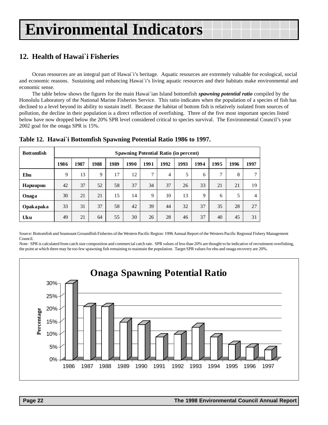## <span id="page-21-0"></span>**12. Health of Hawai`i Fisheries**

Ocean resources are an integral part of Hawai`i's heritage. Aquatic resources are extremely valuable for ecological, social and economic reasons. Sustaining and enhancing Hawai`i's living aquatic resources and their habitats make environmental and economic sense.

The table below shows the figures for the main Hawai`ian Island bottomfish *spawning potential ratio* compiled by the Honolulu Laboratory of the National Marine Fisheries Service. This ratio indicates when the population of a species of fish has declined to a level beyond its ability to sustain itself. Because the habitat of bottom fish is relatively isolated from sources of pollution, the decline in their population is a direct reflection of overfishing. Three of the five most important species listed below have now dropped below the 20% SPR level considered critical to species survival. The Environmental Council's year 2002 goal for the onaga SPR is 15%.

| <b>Bottomfish</b> | <b>Spawning Potential Ratio (in percent)</b> |      |      |      |      |               |      |      |      |      |      |      |
|-------------------|----------------------------------------------|------|------|------|------|---------------|------|------|------|------|------|------|
|                   | 1986                                         | 1987 | 1988 | 1989 | 1990 | 1991          | 1992 | 1993 | 1994 | 1995 | 1996 | 1997 |
| Ehu               | 9                                            | 13   | 9    | 17   | 12   | $\mathcal{I}$ | 4    | 5    | 6    | 7    | 8    | π    |
| Hapuupuu          | 42                                           | 37   | 52   | 58   | 37   | 34            | 37   | 26   | 33   | 21   | 21   | 19   |
| Onaga             | 30                                           | 21   | 21   | 15   | 14   | 9             | 10   | 13   | 9    | 6    | 5    | 4    |
| Opakapaka         | 33                                           | 31   | 37   | 58   | 42   | 39            | 44   | 32   | 37   | 35   | 28   | 27   |
| Uku               | 49                                           | 21   | 64   | 55   | 30   | 26            | 28   | 46   | 37   | 40   | 45   | 31   |

**Table 12. Hawai`i Bottomfish Spawning Potential Ratio 1986 to 1997.**

Source: Bottomfish and Seamount Groundfish Fisheries of the Western Pacific Region: 1996 Annual Report of the Western Pacific Regional Fishery Management Council.

Note: SPR is calculated from catch size composition and commercial catch rate. SPR values of less than 20% are thought to be indicative of recruitment overfishing, the point at which there may be too few spawning fish remaining to maintain the population. Target SPR values for ehu and onaga recovery are 20%.

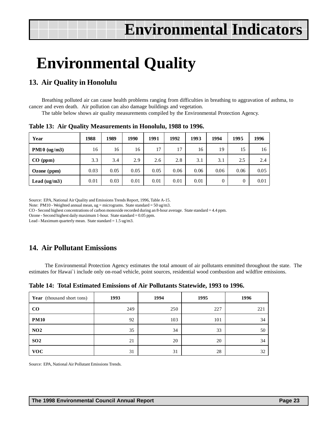## <span id="page-22-0"></span>**Environmental Quality**

## **13. Air Quality in Honolulu**

Breathing polluted air can cause health problems ranging from difficulties in breathing to aggravation of asthma, to cancer and even death. Air pollution can also damage buildings and vegetation.

The table below shows air quality measurements compiled by the Environmental Protection Agency.

| Year           | 1988 | 1989 | 1990 | 1991 | 1992 | 1993 | 1994 | 1995 | 1996 |
|----------------|------|------|------|------|------|------|------|------|------|
| $PM10$ (ug/m3) | 16   | 16   | 16   | 17   | 17   | 16   | 19   | 15   | 16   |
| CO (ppm)       | 3.3  | 3.4  | 2.9  | 2.6  | 2.8  | 3.1  | 3.1  | 2.5  | 2.4  |
| Ozone $(ppm)$  | 0.03 | 0.05 | 0.05 | 0.05 | 0.06 | 0.06 | 0.06 | 0.06 | 0.05 |
| Lead $(ug/m3)$ | 0.01 | 0.03 | 0.01 | 0.01 | 0.01 | 0.01 | 0    | 0    | 0.01 |

**Table 13: Air Quality Measurements in Honolulu, 1988 to 1996.**

Source: EPA, National Air Quality and Emissions Trends Report, 1996, Table A-15.

Note: PM10 - Weighted annual mean,  $ug = micrograms$ . State standard = 50 ug/m3.

CO - Second highest concentrations of carbon monoxide recorded during an 8-hour average. State standard = 4.4 ppm.

Ozone - Second highest daily maximum 1-hour. State standard = 0.05 ppm.

Lead - Maximum quarterly mean. State standard =  $1.5$  ug/m3.

## **14. Air Pollutant Emissions**

 The Environmental Protection Agency estimates the total amount of air pollutants emmitted throughout the state. The estimates for Hawai`i include only on-road vehicle, point sources, residential wood combustion and wildfire emissions.

|  | Table 14: Total Estimated Emissions of Air Pollutants Statewide, 1993 to 1996. |  |  |  |  |
|--|--------------------------------------------------------------------------------|--|--|--|--|
|--|--------------------------------------------------------------------------------|--|--|--|--|

| <b>Year</b> (thousand short tons) | 1993 | 1994 | 1995 | 1996 |
|-----------------------------------|------|------|------|------|
| $\bf CO$                          | 249  | 250  | 227  | 221  |
| <b>PM10</b>                       | 92   | 103  | 101  | 34   |
| NO <sub>2</sub>                   | 35   | 34   | 33   | 50   |
| SO <sub>2</sub>                   | 21   | 20   | 20   | 34   |
| <b>VOC</b>                        | 31   | 31   | 28   | 32   |

Source: EPA, National Air Pollutant Emissions Trends.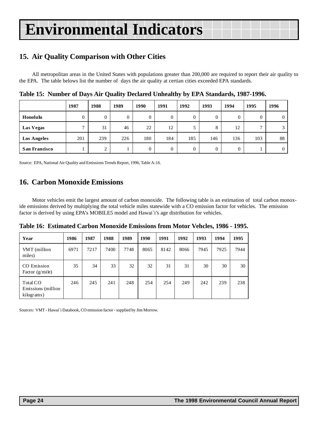## <span id="page-23-0"></span>**15. Air Quality Comparison with Other Cities**

All metropolitan areas in the United States with populations greater than 200,000 are required to report their air quality to the EPA. The table belows list the number of days the air quality at certian cities exceeded EPA standards.

|                      | 1987           | 1988               | 1989           | 1990 | 1991           | 1992     | 1993     | 1994     | 1995           | 1996           |
|----------------------|----------------|--------------------|----------------|------|----------------|----------|----------|----------|----------------|----------------|
| Honolulu             | $\Omega$       | 0                  | $\overline{0}$ | 0    | $\overline{0}$ | $\Omega$ | 0        | $\theta$ |                | $\overline{0}$ |
| Las Vegas            | $\overline{ }$ | 31                 | 46             | 22   | 12             |          | 8        | 12       | $\overline{ }$ | ◠              |
| <b>Los Angeles</b>   | 201            | 239                | 226            | 180  | 184            | 185      | 146      | 136      | 103            | 88             |
| <b>San Francisco</b> |                | ↑<br>$\mathcal{L}$ |                | 0    | $\overline{0}$ | $\Omega$ | $\Omega$ | $\Omega$ |                | $\overline{0}$ |

**Table 15: Number of Days Air Quality Declared Unhealthy by EPA Standards, 1987-1996.**

Source: EPA, National Air Quality and Emissions Trends Report, 1996, Table A-16.

## **16. Carbon Monoxide Emissions**

Motor vehicles emit the largest amount of carbon monoxide. The following table is an estimation of total carbon monoxide emissions derived by multiplying the total vehicle miles statewide with a CO emission factor for vehicles. The emission factor is derived by using EPA's MOBILE5 model and Hawai`i's age distribution for vehicles.

**Table 16: Estimated Carbon Monoxide Emissions from Motor Vehcles, 1986 - 1995.**

| Year                                          | 1986 | 1987 | 1988 | 1989 | 1990 | 1991 | 1992 | 1993 | 1994 | 1995 |
|-----------------------------------------------|------|------|------|------|------|------|------|------|------|------|
| VMT (million<br>miles)                        | 6971 | 7217 | 7400 | 7748 | 8065 | 8142 | 8066 | 7945 | 7925 | 7944 |
| CO Emission<br>Factor $(g/mile)$              | 35   | 34   | 33   | 32   | 32   | 31   | 31   | 30   | 30   | 30   |
| Total CO<br>Emissions (million)<br>kilograms) | 246  | 245  | 241  | 248  | 254  | 254  | 249  | 242  | 239  | 238  |

Sources: VMT - Hawai`i Databook, CO emission factor - supplied by Jim Morrow.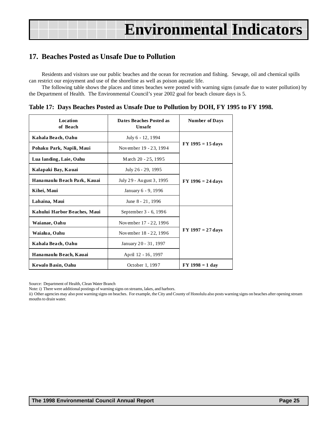## <span id="page-24-0"></span>**17. Beaches Posted as Unsafe Due to Pollution**

Residents and visitors use our public beaches and the ocean for recreation and fishing. Sewage, oil and chemical spills can restrict our enjoyment and use of the shoreline as well as poison aquatic life.

The following table shows the places and times beaches were posted with warning signs (unsafe due to water pollution) by the Department of Health. The Environmental Council's year 2002 goal for beach closure days is 5.

|  |  | Table 17: Days Beaches Posted as Unsafe Due to Pollution by DOH, FY 1995 to FY 1998. |
|--|--|--------------------------------------------------------------------------------------|
|  |  |                                                                                      |

| Location<br>of Beach         | Dates Beaches Posted as<br><b>Unsafe</b> | <b>Number of Days</b> |  |  |
|------------------------------|------------------------------------------|-----------------------|--|--|
| Kahala Beach, Oahu           | July 6 - 12, 1994                        |                       |  |  |
| Pohaku Park, Napili, Maui    | November 19 - 23, 1994                   | $FY$ 1995 = 15 days   |  |  |
| Lua landing, Laie, Oahu      | March 20 - 25, 1995                      |                       |  |  |
| Kalapaki Bay, Kauai          | July 26 - 29, 1995                       |                       |  |  |
| Hanamaulu Beach Park, Kauai  | July 29 - August 3, 1995                 | $FY 1996 = 24 days$   |  |  |
| Kihei, Maui                  | January 6 - 9, 1996                      |                       |  |  |
| Lahaina, Maui                | June 8 - 21, 1996                        |                       |  |  |
| Kahului Harbor Beaches, Maui | September 3 - 6, 1996                    |                       |  |  |
| Waianae, Oahu                | November 17 - 22, 1996                   |                       |  |  |
| Waialua, Oahu                | November 18 - 22, 1996                   | $FY 1997 = 27 days$   |  |  |
| Kahala Beach, Oahu           | January 20 - 31, 1997                    |                       |  |  |
| Hanamaulu Beach, Kauai       | April 12 - 16, 1997                      |                       |  |  |
| Kewalo Basin, Oahu           | October 1, 1997                          | $FY 1998 = 1 day$     |  |  |

Source: Department of Health, Clean Water Branch

Note: i) There were additional postings of warning signs on streams, lakes, and harbors.

ii) Other agencies may also post warning signs on beaches. For example, the City and County of Honolulu also posts warning signs on beaches after opening stream mouths to drain water.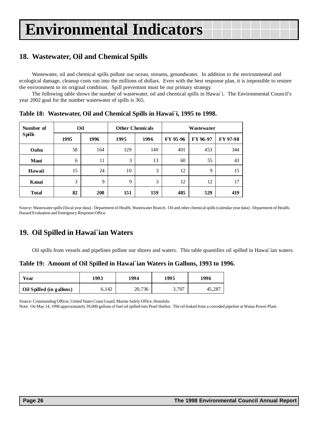## <span id="page-25-0"></span>**18. Wastewater, Oil and Chemical Spills**

Wastewater, oil and chemical spills pollute our ocean, streams, groundwater. In addition to the environmental and ecological damage, cleanup costs run into the millions of dollars. Even with the best response plan, it is impossible to restore the environment to its original condition. Spill prevention must be our primary strategy.

The following table shows the number of wastewater, oil and chemical spills in Hawai`i. The Environmental Council's year 2002 goal for the number wastewater of spills is 365.

**Table 18: Wastewater, Oil and Chemical Spills in Hawai`i, 1995 to 1998.**

| Number of     | Oil  |      | <b>Other Chemicals</b> |      |          | <b>Wastewater</b> |          |
|---------------|------|------|------------------------|------|----------|-------------------|----------|
| <b>Spills</b> | 1995 | 1996 | 1995                   | 1996 | FY 95-96 | FY 96-97          | FY 97-98 |
| Oahu          | 58   | 164  | 129                    | 140  | 401      | 453               | 344      |
| <b>Maui</b>   | 6    | 11   | 3                      | 13   | 60       | 55                | 43       |
| Hawaii        | 15   | 24   | 10                     | 3    | 12       | 9                 | 15       |
| Kauai         | 3    | 9    | 9                      | 3    | 12       | 12                | 17       |
| <b>Total</b>  | 82   | 208  | 151                    | 159  | 485      | 529               | 419      |

Source: Wastewater spills (fiscal year data) - Department of Health, Wastewater Branch. Oil and other chemical spills (calendar year data) - Department of Health, Hazard Evaluation and Emergency Response Office.

## **19. Oil Spilled in Hawai`ian Waters**

Oil spills from vessels and pipelines pollute our shores and waters. This table quantifies oil spilled in Hawai`ian waters.

**Table 19: Amount of Oil Spilled in Hawai`ian Waters in Gallons, 1993 to 1996.**

| Year                     | 1993  | 1994   | 1995  | 1996   |
|--------------------------|-------|--------|-------|--------|
| Oil Spilled (in gallons) | 6,142 | 20,736 | 3,707 | 45,287 |

Source: Commanding Officer, United States Coast Guard, Marine Safety Office, Honolulu

Note: On May 14, 1996 approximately 39,000 gallons of fuel oil spilled into Pearl Harbor. The oil leaked from a corroded pipeline at Waiau Power Plant.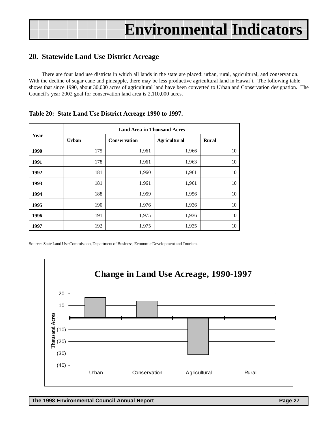## <span id="page-26-0"></span>**20. Statewide Land Use District Acreage**

There are four land use districts in which all lands in the state are placed: urban, rural, agricultural, and conservation. With the decline of sugar cane and pineapple, there may be less productive agricultural land in Hawai'i. The following table shows that since 1990, about 30,000 acres of agricultural land have been converted to Urban and Conservation designation. The Council's year 2002 goal for conservation land area is 2,110,000 acres.

|      |       | <b>Land Area in Thousand Acres</b> |                     |              |
|------|-------|------------------------------------|---------------------|--------------|
| Year | Urban | Conservation                       | <b>Agricultural</b> | <b>Rural</b> |
| 1990 | 175   | 1,961                              | 1,966               | 10           |
| 1991 | 178   | 1,961                              | 1,963               | 10           |
| 1992 | 181   | 1,960                              | 1,961               | 10           |
| 1993 | 181   | 1,961                              | 1,961               | 10           |
| 1994 | 188   | 1,959                              | 1,956               | 10           |
| 1995 | 190   | 1,976                              | 1,936               | 10           |
| 1996 | 191   | 1,975                              | 1,936               | 10           |
| 1997 | 192   | 1,975                              | 1,935               | 10           |

### **Table 20: State Land Use District Acreage 1990 to 1997.**

Source: State Land Use Commission, Department of Business, Economic Development and Tourism.

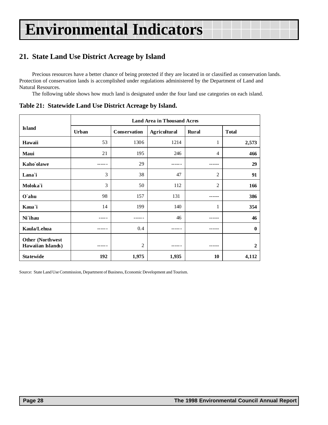## <span id="page-27-0"></span>**21. State Land Use District Acreage by Island**

Precious resources have a better chance of being protected if they are located in or classified as conservation lands. Protection of conservation lands is accomplished under regulations administered by the Department of Land and Natural Resources.

The following table shows how much land is designated under the four land use categories on each island.

|                                               |       |              | <b>Land Area in Thousand Acres</b> |              |                |
|-----------------------------------------------|-------|--------------|------------------------------------|--------------|----------------|
| <b>Island</b>                                 | Urban | Conservation | <b>Agricultural</b>                | <b>Rural</b> | <b>Total</b>   |
| Hawaii                                        | 53    | 1306         | 1214                               | 1            | 2,573          |
| Maui                                          | 21    | 195          | 246                                | 4            | 466            |
| Kaho'olawe                                    |       | 29           |                                    |              | 29             |
| Lana`i                                        | 3     | 38           | 47                                 | 2            | 91             |
| Moloka'i                                      | 3     | 50           | 112                                | 2            | 166            |
| O`ahu                                         | 98    | 157          | 131                                | ------       | 386            |
| Kaua`i                                        | 14    | 199          | 140                                | 1            | 354            |
| Ni`ihau                                       |       |              | 46                                 |              | 46             |
| Kaula/Lehua                                   |       | 0.4          |                                    | ------       | $\mathbf 0$    |
| <b>Other (Northwest)</b><br>Hawaiian Islands) |       | 2            |                                    | ------       | $\overline{2}$ |
| <b>Statewide</b>                              | 192   | 1,975        | 1,935                              | 10           | 4,112          |

**Table 21: Statewide Land Use District Acreage by Island.**

Source: State Land Use Commission, Department of Business, Economic Development and Tourism.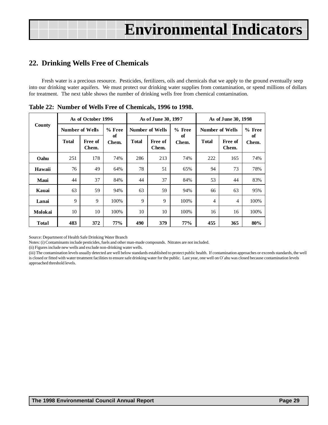## <span id="page-28-0"></span>**22. Drinking Wells Free of Chemicals**

Fresh water is a precious resource. Pesticides, fertilizers, oils and chemicals that we apply to the ground eventually seep into our drinking water aquifers. We must protect our drinking water supplies from contamination, or spend millions of dollars for treatment. The next table shows the number of drinking wells free from chemical contamination.

|             |       | As of October 1996     |             |              | As of June 30, 1997    |            |                |                        | As of June 30, 1998<br>% Free<br>of<br>Free of<br>Chem.<br>Chem.<br>74%<br>165<br>73<br>78%<br>44<br>83% |  |
|-------------|-------|------------------------|-------------|--------------|------------------------|------------|----------------|------------------------|----------------------------------------------------------------------------------------------------------|--|
| County      |       | <b>Number of Wells</b> | % Free      |              | <b>Number of Wells</b> | $%$ Free   |                | <b>Number of Wells</b> |                                                                                                          |  |
|             | Total | Free of<br>Chem.       | of<br>Chem. | <b>Total</b> | of<br>Free of<br>Chem. | Chem.      | <b>Total</b>   |                        |                                                                                                          |  |
| Oahu        | 251   | 178                    | 74%         | 286          | 213                    | 74%        | 222            |                        |                                                                                                          |  |
| Hawaii      | 76    | 49                     | 64%         | 78           | 51                     | 65%        | 94             |                        |                                                                                                          |  |
| <b>Maui</b> | 44    | 37                     | 84%         | 44           | 37                     | 84%        | 53             |                        |                                                                                                          |  |
| Kauai       | 63    | 59                     | 94%         | 63           | 59                     | 94%        | 66             | 63                     | 95%                                                                                                      |  |
| Lanai       | 9     | 9                      | 100%        | 9            | 9                      | 100%       | $\overline{4}$ | 4                      | 100%                                                                                                     |  |
| Molokai     | 10    | 10                     | 100%        | 10           | 10                     | 100%       | 16             | 16                     | 100%                                                                                                     |  |
| Total       | 483   | 372                    | 77%         | 490          | 379                    | <b>77%</b> | 455            | 365                    | 80%                                                                                                      |  |

**Table 22: Number of Wells Free of Chemicals, 1996 to 1998.**

Source: Department of Health Safe Drinking Water Branch

Notes: (i) Contaminants include pesticides, fuels and other man-made compounds. Nitrates are not included.

(ii) Figures include new wells and exclude non-drinking water wells.

(iii) The contamination levels usually detected are well below standards established to protect public health. If contamination approaches or exceeds standards, the well is closed or fitted with water treatment facilities to ensure safe drinking water for the public. Last year, one well on O`ahu was closed because contamination levels approached threshold levels.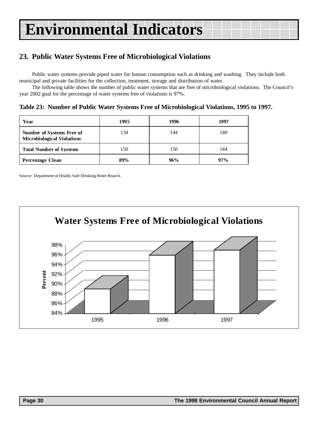## <span id="page-29-0"></span>**23. Public Water Systems Free of Microbiological Violations**

Public water systems provide piped water for human consumption such as drinking and washing. They include both municipal and private facilities for the collection, treatment, storage and distribution of water.

The following table shows the number of public water systems that are free of microbiological violations. The Council's year 2002 goal for the percentage of water systems free of violations is 97%.

**Table 23: Number of Public Water Systems Free of Microbiological Violations, 1995 to 1997.**

| Year                                                           | 1995 | 1996 | 1997 |
|----------------------------------------------------------------|------|------|------|
| Number of Systems Free of<br><b>Microbiological Violations</b> | 134  | 144  | 140  |
| <b>Total Number of Systems</b>                                 | 150  | 150  | 144  |
| <b>Percentage Clean</b>                                        | 89%  | 96%  | 97%  |

Source: Department of Health, Safe Drinking Water Branch.

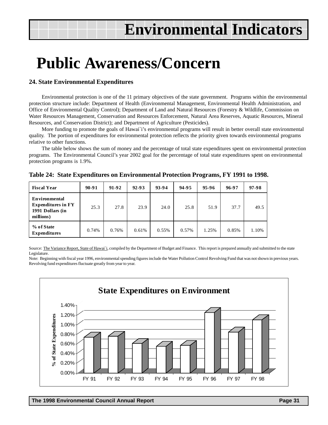## **Public Awareness/Concern**

### **24. State Environmental Expenditures**

Environmental protection is one of the 11 primary objectives of the state government. Programs within the environmental protection structure include: Department of Health (Environmental Management, Environmental Health Administration, and Office of Environmental Quality Control); Department of Land and Natural Resources (Forestry & Wildlife, Commission on Water Resources Management, Conservation and Resources Enforcement, Natural Area Reserves, Aquatic Resources, Mineral Resources, and Conservation District); and Department of Agriculture (Pesticides).

More funding to promote the goals of Hawai`i's environmental programs will result in better overall state environmental quality. The portion of expenditures for environmental protection reflects the priority given towards environmental programs relative to other functions.

The table below shows the sum of money and the percentage of total state expenditures spent on environmental protection programs. The Environmental Council's year 2002 goal for the percentage of total state expenditures spent on environmental protection programs is 1.9%.

| <b>Fiscal Year</b>                                                                 | $90 - 91$ | $91 - 92$ | $92 - 93$ | 93-94 | 94-95 | 95-96 | 96-97 | 97-98 |
|------------------------------------------------------------------------------------|-----------|-----------|-----------|-------|-------|-------|-------|-------|
| <b>Environmental</b><br><b>Expenditures in FY</b><br>1991 Dollars (in<br>millions) | 25.3      | 27.8      | 23.9      | 24.0  | 25.8  | 51.9  | 37.7  | 49.5  |
| % of State<br><b>Expenditures</b>                                                  | 0.74%     | 0.76%     | 0.61%     | 0.55% | 0.57% | 1.25% | 0.85% | 1.10% |

**Table 24: State Expenditures on Environmental Protection Programs, FY 1991 to 1998.**

Source: The Variance Report, State of Hawai'i, compiled by the Department of Budget and Finance. This report is prepared annually and submitted to the state Legislature.

Note: Beginning with fiscal year 1996, environmental spending figures include the Water Pollution Control Revolving Fund that was not shown in previous years. Revolving fund expenditures fluctuate greatly from year to year.

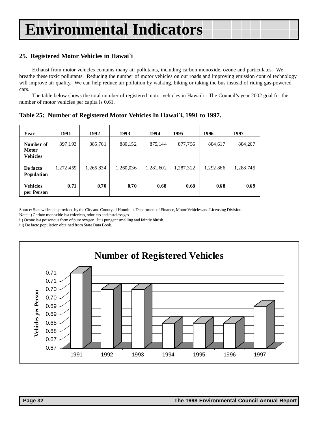### **25. Registered Motor Vehicles in Hawai`i**

Exhaust from motor vehicles contains many air pollutants, including carbon monoxide, ozone and particulates. We breathe these toxic pollutants. Reducing the number of motor vehicles on our roads and improving emission control technology will improve air quality. We can help reduce air pollution by walking, biking or taking the bus instead of riding gas-powered cars.

The table below shows the total number of registered motor vehicles in Hawai`i. The Council's year 2002 goal for the number of motor vehicles per capita is 0.61.

| Year                                        | 1991      | 1992      | 1993      | 1994      | 1995      | 1996      | 1997      |
|---------------------------------------------|-----------|-----------|-----------|-----------|-----------|-----------|-----------|
| Number of<br><b>Motor</b><br><b>Vehides</b> | 897,193   | 885,761   | 880,152   | 875,144   | 877,756   | 884,617   | 884,267   |
| De facto<br><b>Population</b>               | 1,272,459 | 1,265,834 | 1,260,036 | 1,281,602 | 1,287,322 | 1,292,866 | 1,288,745 |
| Vehides<br>per Person                       | 0.71      | 0.70      | 0.70      | 0.68      | 0.68      | 0.68      | 0.69      |

**Table 25: Number of Registered Motor Vehicles In Hawai`i, 1991 to 1997.**

Source: Statewide data provided by the City and County of Honolulu, Department of Finance, Motor Vehicles and Licensing Division.

Note: i) Carbon monoxide is a colorless, odorless and tasteless gas.

ii) Ozone is a poisonous form of pure oxygen. It is pungent smelling and faintly bluish.

iii) De facto population obtained from State Data Book.

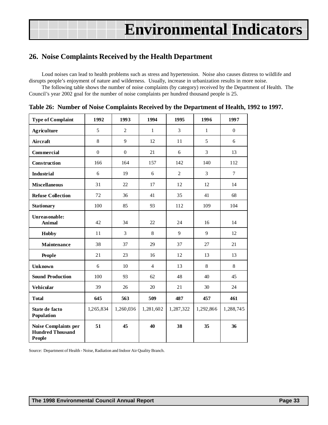## <span id="page-32-0"></span>**26. Noise Complaints Received by the Health Department**

Loud noises can lead to health problems such as stress and hypertension. Noise also causes distress to wildlife and disrupts people's enjoyment of nature and wilderness. Usually, increase in urbanization results in more noise.

The following table shows the number of noise complaints (by category) received by the Department of Health. The Council's year 2002 goal for the number of noise complaints per hundred thousand people is 25.

| <b>Type of Complaint</b>                                  | 1992             | 1993           | 1994           | 1995           | 1996         | 1997         |
|-----------------------------------------------------------|------------------|----------------|----------------|----------------|--------------|--------------|
| <b>Agriculture</b>                                        | 5                | $\overline{c}$ | $\mathbf{1}$   | 3              | $\mathbf{1}$ | $\mathbf{0}$ |
| Aircraft                                                  | 8                | 9              | 12             | 11             | 5            | 6            |
| Commercial                                                | $\boldsymbol{0}$ | $\Omega$       | 21             | 6              | 3            | 13           |
| Construction                                              | 166              | 164            | 157            | 142            | 140          | 112          |
| <b>Industrial</b>                                         | 6                | 19             | 6              | $\overline{2}$ | 3            | $\tau$       |
| <b>Miscellaneous</b>                                      | 31               | 22             | 17             | 12             | 12           | 14           |
| <b>Refuse Collection</b>                                  | 72               | 36             | 41             | 35             | 41           | 68           |
| <b>Stationary</b>                                         | 100              | 85             | 93             | 112            | 109          | 104          |
| Unreasonable:<br><b>Animal</b>                            | 42               | 34             | 22             | 24             | 16           | 14           |
| <b>Hobby</b>                                              | 11               | 3              | 8              | 9              | 9            | 12           |
| Maintenance                                               | 38               | 37             | 29             | 37             | 27           | 21           |
| People                                                    | 21               | 23             | 16             | 12             | 13           | 13           |
| <b>Unknown</b>                                            | 6                | 10             | $\overline{4}$ | 13             | 8            | 8            |
| <b>Sound Production</b>                                   | 100              | 93             | 62             | 48             | 40           | 45           |
| <b>Vehicular</b>                                          | 39               | 26             | 20             | 21             | 30           | 24           |
| <b>Total</b>                                              | 645              | 563            | 509            | 487            | 457          | 461          |
| State de facto<br>Population                              | 1,265,834        | 1,260,036      | 1,281,602      | 1,287,322      | 1,292,866    | 1,288,745    |
| Noise Complaints per<br><b>Hundred Thousand</b><br>People | 51               | 45             | 40             | 38             | 35           | 36           |

Source: Department of Health - Noise, Radiation and Indoor Air Quality Branch.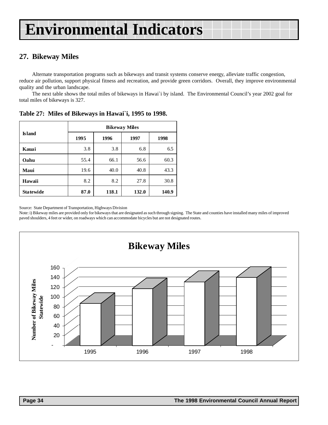## <span id="page-33-0"></span>**27. Bikeway Miles**

Alternate transportation programs such as bikeways and transit systems conserve energy, alleviate traffic congestion, reduce air pollution, support physical fitness and recreation, and provide green corridors. Overall, they improve environmental quality and the urban landscape.

The next table shows the total miles of bikeways in Hawai`i by island. The Environmental Council's year 2002 goal for total miles of bikeways is 327.

|                  | <b>Bikeway Miles</b> |       |       |       |  |  |  |  |
|------------------|----------------------|-------|-------|-------|--|--|--|--|
| <b>Island</b>    | 1995                 | 1996  | 1997  | 1998  |  |  |  |  |
| Kauai            | 3.8                  | 3.8   | 6.8   | 6.5   |  |  |  |  |
| Oahu             | 55.4                 | 66.1  | 56.6  | 60.3  |  |  |  |  |
| Maui             | 19.6                 | 40.0  | 40.8  | 43.3  |  |  |  |  |
| Hawaii           | 8.2                  | 8.2   | 27.8  | 30.8  |  |  |  |  |
| <b>Statewide</b> | 87.0                 | 118.1 | 132.0 | 140.9 |  |  |  |  |

**Table 27: Miles of Bikeways in Hawai`i, 1995 to 1998.**

Source: State Department of Transportation, Highways Division

Note: i) Bikeway miles are provided only for bikeways that are designated as such through signing. The State and counties have installed many miles of improved paved shoulders, 4 feet or wider, on roadways which can accommodate bicycles but are not designated routes.

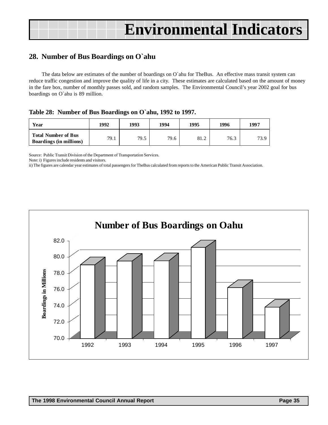## <span id="page-34-0"></span>**28. Number of Bus Boardings on O`ahu**

The data below are estimates of the number of boardings on O`ahu for TheBus. An effective mass transit system can reduce traffic congestion and improve the quality of life in a city. These estimates are calculated based on the amount of money in the fare box, number of monthly passes sold, and random samples. The Environmental Council's year 2002 goal for bus boardings on O`ahu is 89 million.

|  | Table 28: Number of Bus Boardings on O'ahu, 1992 to 1997. |  |  |
|--|-----------------------------------------------------------|--|--|
|  |                                                           |  |  |

| Year                                                         | 1992 | 1993 | 1994 | 1995 | 1996 | 1997 |
|--------------------------------------------------------------|------|------|------|------|------|------|
| <b>Total Number of Bus</b><br><b>Boardings (in millions)</b> | 79.1 | 79.5 | 79.6 | 81.2 | 76.3 | 73.9 |

Source: Public Transit Division of the Department of Transportation Services.

Note: i) Figures include residents and visitors.

ii) The figures are calendar year estimates of total passengers for TheBus calculated from reports to the American Public Transit Association.

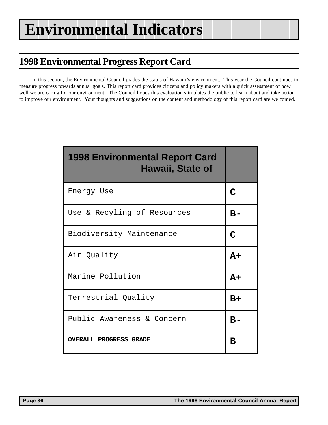## <span id="page-35-0"></span>**1998 Environmental Progress Report Card**

In this section, the Environmental Council grades the status of Hawai`i's environment. This year the Council continues to measure progress towards annual goals. This report card provides citizens and policy makers with a quick assessment of how well we are caring for our environment. The Council hopes this evaluation stimulates the public to learn about and take action to improve our environment. Your thoughts and suggestions on the content and methodology of this report card are welcomed.

| <b>1998 Environmental Report Card</b><br>Hawaii, State of |             |
|-----------------------------------------------------------|-------------|
| Energy Use                                                | C           |
| Use & Recyling of Resources                               | B-          |
| Biodiversity Maintenance                                  | $\mathbf C$ |
| Air Quality                                               | $A+$        |
| Marine Pollution                                          | $A+$        |
| Terrestrial Quality                                       | B+          |
| Public Awareness & Concern                                | $B -$       |
| <b>OVERALL PROGRESS GRADE</b>                             | В           |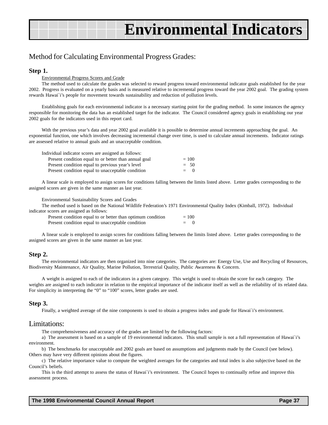### Method for Calculating Environmental Progress Grades:

#### **Step 1.**

#### Environmental Progress Scores and Grade

The method used to calculate the grades was selected to reward progress toward environmental indicator goals established for the year 2002. Progress is evaluated on a yearly basis and is measured relative to incremental progress toward the year 2002 goal. The grading system rewards Hawai`i's people for movement towards sustainability and reduction of pollution levels.

Establishing goals for each environmental indicator is a necessary starting point for the grading method. In some instances the agency responsible for monitoring the data has an established target for the indicator. The Council considered agency goals in establishing our year 2002 goals for the indicators used in this report card.

With the previous year's data and year 2002 goal available it is possible to determine annual increments approaching the goal. An exponential function, one which involves decreasing incremental change over time, is used to calculate annual increments. Indicator ratings are assessed relative to annual goals and an unacceptable condition.

| Individual indicator scores are assigned as follows:  |         |
|-------------------------------------------------------|---------|
| Present condition equal to or better than annual goal | $= 100$ |
| Present condition equal to previous year's level      | $= 50$  |
| Present condition equal to unacceptable condition     | $= 0$   |

A linear scale is employed to assign scores for conditions falling between the limits listed above. Letter grades corresponding to the assigned scores are given in the same manner as last year.

Environmental Sustainability Scores and Grades

The method used is based on the National Wildlife Federation's 1971 Environmental Quality Index (Kimball, 1972). Individual indicator scores are assigned as follows:

| Present condition equal to or better than optimum condition | $= 100$ |  |
|-------------------------------------------------------------|---------|--|
| Present condition equal to unacceptable condition           | $= 0$   |  |

A linear scale is employed to assign scores for conditions falling between the limits listed above. Letter grades corresponding to the assigned scores are given in the same manner as last year.

#### **Step 2.**

The environmental indicators are then organized into nine categories. The categories are: Energy Use, Use and Recycling of Resources, Biodiversity Maintenance, Air Quality, Marine Pollution, Terrestrial Quality, Public Awareness & Concern.

A weight is assigned to each of the indicators in a given category. This weight is used to obtain the score for each category. The weights are assigned to each indicator in relation to the empirical importance of the indicator itself as well as the reliability of its related data. For simplicity in interpreting the "0" to "100" scores, letter grades are used.

#### **Step 3.**

Finally, a weighted average of the nine components is used to obtain a progress index and grade for Hawai`i's environment.

### Limitations:

The comprehensiveness and accuracy of the grades are limited by the following factors:

a) The assessment is based on a sample of 19 environmental indicators. This small sample is not a full representation of Hawai`i's environment.

b) The benchmarks for unacceptable and 2002 goals are based on assumptions and judgments made by the Council (see below). Others may have very different opinions about the figures.

c) The relative importance value to compute the weighted averages for the categories and total index is also subjective based on the Council's beliefs.

This is the third attempt to assess the status of Hawai`i's environment. The Council hopes to continually refine and improve this assessment process.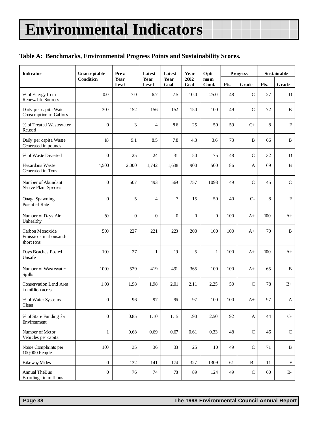### **Table A: Benchmarks, Environmental Progress Points and Sustainability Scores.**

| <b>Indicator</b>                                        | Unacceptable     | Prev.         | Latest         | Latest         | Year           | Opti-                    |      | <b>Progress</b> |      | Sustainable               |
|---------------------------------------------------------|------------------|---------------|----------------|----------------|----------------|--------------------------|------|-----------------|------|---------------------------|
|                                                         | Condition        | Year<br>Level | Year<br>Level  | Year<br>Goal   | 2002<br>Goal   | m <sub>um</sub><br>Cond. | Pts. | Grade           | Pts. | Grade                     |
| % of Energy from<br>Renewable Sources                   | 0.0              | 7.0           | 6.7            | 7.5            | 10.0           | 25.0                     | 48   | $\mathsf{C}$    | 27   | ${\rm D}$                 |
| Daily per capita Water<br>Consumption in Gallons        | 300              | 152           | 156            | 152            | 150            | 100                      | 49   | $\mathsf{C}$    | 72   | $\, {\bf B}$              |
| % of Treated Wastewater<br>Reused                       | $\overline{0}$   | 3             | $\overline{4}$ | 8.6            | 25             | 50                       | 59   | $C+$            | 8    | ${\bf F}$                 |
| Daily per capita Waste<br>Generated in pounds           | 18               | 9.1           | 8.5            | 7.8            | 4.3            | 3.6                      | 73   | B               | 66   | $\, {\bf B}$              |
| % of Waste Diverted                                     | $\overline{0}$   | 25            | 24             | 31             | 50             | 75                       | 48   | $\mathsf{C}$    | 32   | D                         |
| Hazardous Waste<br>Generated in Tons                    | 4,500            | 2,000         | 1,742          | 1,638          | 900            | 500                      | 86   | A               | 69   | $\, {\bf B}$              |
| Number of Abundant<br>Native Plant Species              | $\overline{0}$   | 507           | 493            | 569            | 757            | 1093                     | 49   | $\mathcal{C}$   | 45   | $\mathbf C$               |
| Onaga Spawning<br>Potential Rate                        | $\overline{0}$   | 5             | $\overline{4}$ | $\overline{7}$ | 15             | 50                       | 40   | $C-$            | 8    | ${\bf F}$                 |
| Number of Days Air<br>Unhealthy                         | 50               | $\theta$      | $\overline{0}$ | $\theta$       | $\overline{0}$ | $\overline{0}$           | 100  | $A+$            | 100  | $A+$                      |
| Carbon Monoxide<br>Emissions in thousands<br>short tons | 500              | 227           | 221            | 223            | 200            | 100                      | 100  | $A+$            | 70   | $\, {\bf B}$              |
| Days Beaches Posted<br>Unsafe                           | 100              | 27            | $\mathbf{1}$   | 19             | 5              | $\mathbf{1}$             | 100  | $A+$            | 100  | $A+$                      |
| Number of Wastewater<br>Spills                          | 1000             | 529           | 419            | 491            | 365            | 100                      | 100  | $A+$            | 65   | B                         |
| <b>Conservation Land Area</b><br>in million acres       | 1.03             | 1.98          | 1.98           | 2.01           | 2.11           | 2.25                     | 50   | $\mathsf{C}$    | 78   | $B+$                      |
| % of Water Systems<br>Clean                             | $\boldsymbol{0}$ | 96            | 97             | 96             | 97             | 100                      | 100  | $A+$            | 97   | A                         |
| % of State Funding for<br>Environment                   | $\mathbf{0}$     | 0.85          | 1.10           | 1.15           | 1.90           | 2.50                     | 92   | $\mathbf A$     | 44   | $C -$                     |
| Number of Motor<br>Vehicles per capita                  | $\mathbf{1}$     | 0.68          | 0.69           | 0.67           | 0.61           | 0.33                     | 48   | $\mathsf{C}$    | 46   | $\mathsf{C}$              |
| Noise Complaints per<br>100,000 People                  | $100\,$          | 35            | 36             | 33             | 25             | 10                       | 49   | $\mathsf{C}$    | 71   | $\mathbf B$               |
| <b>Bikeway Miles</b>                                    | $\boldsymbol{0}$ | 132           | 141            | 174            | 327            | 1309                     | 61   | <b>B-</b>       | 11   | $\boldsymbol{\mathrm{F}}$ |
| Annual TheBus<br>Boardings in millions                  | $\boldsymbol{0}$ | 76            | 74             | 78             | 89             | 124                      | 49   | ${\bf C}$       | 60   | $\rm B\mbox{-}$           |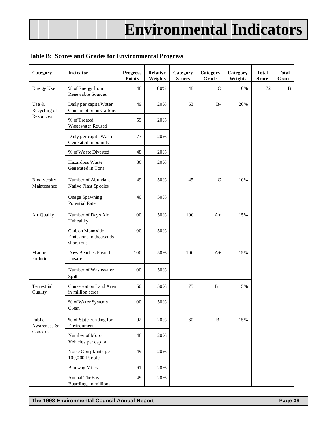### **Table B: Scores and Grades for Environmental Progress**

| Category                    | Indicator                                                 | <b>Progress</b><br>Points | Relative<br>Weights | Category<br><b>Scores</b> | Category<br>Grade | Category<br>Weights | <b>Total</b><br><b>S</b> core | <b>Total</b><br>Grade |
|-----------------------------|-----------------------------------------------------------|---------------------------|---------------------|---------------------------|-------------------|---------------------|-------------------------------|-----------------------|
| Energy Use                  | % of Energy from<br>Renewable Sources                     | 48                        | 100%                | 48                        | $\mathsf{C}$      | 10%                 | 72                            | B                     |
| Use &<br>Recycling of       | Daily per capita Water<br>Consumption in Gallons          | 49                        | 20%                 | 63                        | $B-$              | 20%                 |                               |                       |
| Resources                   | % of Treated<br>Wastewater Reused                         | 59                        | 20%                 |                           |                   |                     |                               |                       |
|                             | Daily per capita Waste<br>Generated in pounds             | 73                        | 20%                 |                           |                   |                     |                               |                       |
|                             | % of Waste Diverted                                       | 48                        | 20%                 |                           |                   |                     |                               |                       |
|                             | Hazardous Waste<br>Generated in Tons                      | 86                        | 20%                 |                           |                   |                     |                               |                       |
| Biodiversity<br>Maintenance | Number of Abundant<br>Native Plant Species                | 49                        | 50%                 | 45                        | $\mathsf{C}$      | 10%                 |                               |                       |
|                             | Onaga Spawning<br><b>Potential Rate</b>                   | 40                        | 50%                 |                           |                   |                     |                               |                       |
| Air Quality                 | Number of Days Air<br>Unhealthy                           | 100                       | 50%                 | 100                       | $A+$              | 15%                 |                               |                       |
|                             | Carb on Mono xide<br>Emissions in thousands<br>short tons | 100                       | 50%                 |                           |                   |                     |                               |                       |
| <b>M</b> arine<br>Pollution | Days Beaches Posted<br>Unsafe                             | 100                       | 50%                 | 100                       | $A+$              | 15%                 |                               |                       |
|                             | Number of Wastewater<br>Spills                            | 100                       | 50%                 |                           |                   |                     |                               |                       |
| Terrestrial<br>Quality      | Conservation Land Area<br>in million acres                | 50                        | 50%                 | 75                        | $B+$              | 15%                 |                               |                       |
|                             | % of Water Systems<br>Clean                               | 100                       | 50%                 |                           |                   |                     |                               |                       |
| Public<br>Awareness &       | % of State Funding for<br>Environment                     | 92                        | 20%                 | 60                        | $B-$              | 15%                 |                               |                       |
| Concern                     | Number of Motor<br>Vehicles per capita                    | 48                        | 20%                 |                           |                   |                     |                               |                       |
|                             | Noise Complaints per<br>100,000 People                    | 49                        | 20%                 |                           |                   |                     |                               |                       |
|                             | <b>Bikeway Miles</b>                                      | 61                        | 20%                 |                           |                   |                     |                               |                       |
|                             | <b>Annual TheBus</b><br>Boardings in millions             | 49                        | 20%                 |                           |                   |                     |                               |                       |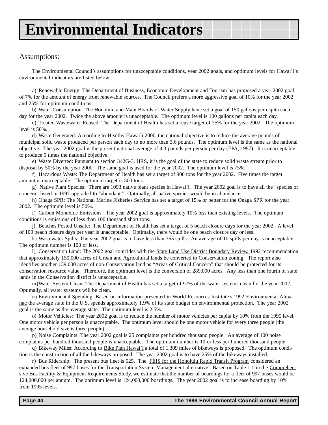### Assumptions:

The Environmental Council's assumptions for unacceptable conditions, year 2002 goals, and optimum levels for Hawai`i's environmental indicators are listed below.

a) Renewable Energy: The Department of Business, Economic Development and Tourism has proposed a year 2002 goal of 7% for the amount of energy from renewable sources. The Council prefers a more aggressive goal of 10% for the year 2002 and 25% for optimum conditions.

b) Water Consumption: The Honolulu and Maui Boards of Water Supply have set a goal of 150 gallons per capita each day for the year 2002. Twice the above amount is unacceptable. The optimum level is 100 gallons per capita each day.

c) Treated Wastewater Reused: The Department of Health has set a reuse target of 25% for the year 2002. The optimum level is 50%.

d) Waste Generated: According to Healthy Hawai`i 2000, the national objective is to reduce the average pounds of municipal solid waste produced per person each day to no more than 3.6 pounds. The optimum level is the same as the national objective. The year 2002 goal is the present national average of 4.3 pounds per person per day (EPA, 1997). It is unacceptable to produce 5 times the national objective.

e) Waste Diverted: Pursuant to section 342G-3, HRS, it is the goal of the state to reduce solid waste stream prior to disposal by 50% by the year 2000. The same goal is used for the year 2002. The optimum level is 75%.

f) Hazardous Waste: The Department of Health has set a target of 900 tons for the year 2002. Five times the target amount is unacceptable. The optimum target is 500 tons.

g) Native Plant Species: There are 1093 native plant species in Hawai`i. The year 2002 goal is to have all the "species of concern" listed in 1997 upgraded to "abundant." Optimally, all native species would be in abundance.

h) Onaga SPR: The National Marine Fisheries Service has set a target of 15% or better for the Onaga SPR for the year 2002. The optimum level is 50%.

i) Carbon Monoxide Emissions: The year 2002 goal is approximately 10% less than existing levels. The optimum conditions is emissions of less than 100 thousand short tons.

j) Beaches Posted Unsafe: The Department of Health has set a target of 5 beach closure days for the year 2002. A level of 100 beach closure days per year is unacceptable. Optimally, there would be one beach closure day or less.

k) Wastewater Spills: The year 2002 goal is to have less than 365 spills. An average of 10 spills per day is unacceptable. The optimum number is 100 or less.

l) Conservation Land: The 2002 goal coincides with the State Land Use District Boundary Review, 1992 recommendation that approximately 150,000 acres of Urban and Agricultural lands be converted to Conservation zoning. The report also identifies another 139,000 acres of non-Conservation land as "Areas of Critical Concern" that should be protected for its conservation resource value. Therefore, the optimum level is the conversion of 289,000 acres. Any less than one fourth of state lands in the Conservation district is unacceptable.

m)Water System Clean: The Department of Health has set a target of 97% of the water systems clean for the year 2002. Optimally, all water systems will be clean.

n) Environmental Spending: Based on information presented in World Resources Institute's 1992 Environmental Almanac the average state in the U.S. spends approximately 1.9% of its state budget on environmental protection. The year 2002 goal is the same as the average state. The optimum level is 2.5%.

o) Motor Vehicles: The year 2002 goal is to reduce the number of motor vehicles per capita by 10% from the 1995 level. One motor vehicle per person is unacceptable. The optimum level should be one motor vehicle for every three people (the average household size is three people).

p) Noise Complaints: The year 2002 goal is 25 complaints per hundred thousand people. An average of 100 noise complaints per hundred thousand people is unacceptable. The optimum number is 10 or less per hundred thousand people.

q) Bikeway Miles: According to Bike Plan Hawai`i a total of 1,309 miles of bikeways is proposed. The optimum condition is the construction of all the bikeways proposed. The year 2002 goal is to have 25% of the bikeways installed.

r) Bus Ridership: The present bus fleet is 525. The FEIS for the Honolulu Rapid Transit Program considered an expanded bus fleet of 997 buses for the Transportation System Management alternative. Based on Table 1.1 in the Comprehensive Bus Facility & Equipment Requirements Study, we estimate that the number of boardings for a fleet of 997 buses would be 124,000,000 per annum. The optimum level is 124,000,000 boardings. The year 2002 goal is to increase boarding by 10% from 1995 levels.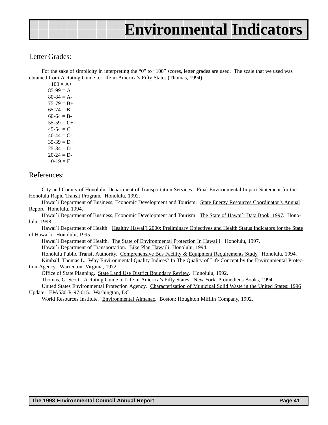### Letter Grades:

For the sake of simplicity in interpreting the "0" to "100" scores, letter grades are used. The scale that we used was obtained from A Rating Guide to Life in America's Fifty States (Thomas, 1994).

 $100 = A +$  $85-99 = A$  $80-84 = A$  $75-79 = B+$  $65-74 = B$  $60-64 = B$  $55-59 = C+$  $45-54 = C$  $40-44 = C$  $35-39 = D+$  $25-34 = D$  $20-24 = D$  $0-19 = F$ 

### References:

City and County of Honolulu, Department of Transportation Services. Final Environmental Impact Statement for the Honolulu Rapid Transit Program. Honolulu, 1992.

Hawai`i Department of Business, Economic Development and Tourism. State Energy Resources Coordinator's Annual Report. Honolulu, 1994.

Hawai`i Department of Business, Economic Development and Tourism. The State of Hawai`i Data Book, 1997. Honolulu, 1998.

Hawai'i Department of Health. Healthy Hawai'i 2000: Preliminary Objectives and Health Status Indicators for the State of Hawai`i. Honolulu, 1995.

Hawai`i Department of Health. The State of Environmental Protection In Hawai`i. Honolulu, 1997.

Hawai`i Department of Transportation. Bike Plan Hawai`i. Honolulu, 1994.

Honolulu Public Transit Authority. Comprehensive Bus Facility & Equipment Requirements Study. Honolulu, 1994.

Kimball, Thomas L. Why Environmental Quality Indices? In The Quality of Life Concept by the Environmental Protection Agency. Warrenton, Virginia, 1972.

Office of State Planning. State Land Use District Boundary Review. Honolulu, 1992.

Thomas, G. Scott. A Rating Guide to Life in America's Fifty States. New York: Prometheus Books, 1994.

United States Environmental Protection Agency. Characterization of Municipal Solid Waste in the United States: 1996 Update. EPA530-R-97-015. Washington, DC.

World Resources Institute. Environmental Almanac. Boston: Houghton Mifflin Company, 1992.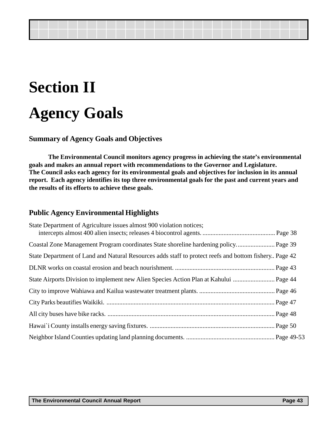## <span id="page-42-0"></span>**Section II Agency Goals**

## **Summary of Agency Goals and Objectives**

**The Environmental Council monitors agency progress in achieving the state's environmental goals and makes an annual report with recommendations to the Governor and Legislature. The Council asks each agency for its environmental goals and objectives for inclusion in its annual report. Each agency identifies its top three environmental goals for the past and current years and the results of its efforts to achieve these goals.**

### **Public Agency Environmental Highlights**

| State Department of Agriculture issues almost 900 violation notices;                                  |  |
|-------------------------------------------------------------------------------------------------------|--|
|                                                                                                       |  |
| Coastal Zone Management Program coordinates State shoreline hardening policy Page 39                  |  |
| State Department of Land and Natural Resources adds staff to protect reefs and bottom fishery Page 42 |  |
|                                                                                                       |  |
| State Airports Division to implement new Alien Species Action Plan at Kahului  Page 44                |  |
|                                                                                                       |  |
|                                                                                                       |  |
|                                                                                                       |  |
|                                                                                                       |  |
|                                                                                                       |  |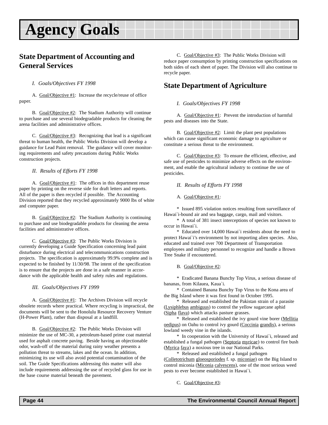## <span id="page-43-0"></span>**Agency Goals**

## **State Department of Accounting and General Services**

#### *I. Goals/Objectives FY 1998*

A. Goal/Objective #1: Increase the recycle/reuse of office paper.

B. Goal/Objective #2: The Stadium Authority will continue to purchase and use several biodegradable products for cleaning the arena facilities and administrative offices.

C. Goal/Objective #3: Recognizing that lead is a significant threat to human health, the Public Works Division will develop a guidance for Lead Paint removal. The guidance will cover monitoring requirements and safety precautions during Public Works construction projects.

#### *II. Results of Efforts FY 1998*

A. Goal/Objective #1: The offices in this department reuse paper by printing on the reverse side for draft letters and reports. All of the paper is then recycled if possible. The Accounting Division reported that they recycled approximately 9000 lbs of white and computer paper.

B. Goal/Objective #2: The Stadium Authority is continuing to purchase and use biodegradable products for cleaning the arena facilities and administrative offices.

C. Goal/Objective #3: The Public Works Division is currently developing a Guide Specification concerning lead paint disturbance during electrical and telecommunications construction projects. The specification is approximately 99.9% complete and is expected to be finished by 11/30/98. The intent of the specification is to ensure that the projects are done in a safe manner in accordance with the applicable health and safety rules and regulations.

*III. Goals/Objectives FY 1999*

A. Goal/Objective #1: The Archives Division will recycle obsolete records where practical. Where recycling is impractical, the documents will be sent to the Honolulu Resource Recovery Venture (H-Power Plant), rather than disposal at a landfill.

B. Goal/Objective #2: The Public Works Division will minimize the use of MC-30, a petroleum-based prime coat material used for asphalt concrete paving. Beside having an objectionable odor, wash-off of the material during rainy weather presents a pollution threat to streams, lakes and the ocean. In addition, minimizing its use will also avoid potential contamination of the soil. The Guide Specifications addressing this matter will also include requirements addressing the use of recycled glass for use in the base course material beneath the pavement.

C. Goal/Objective #3: The Public Works Division will reduce paper consumption by printing construction specifications on both sides of each sheet of paper. The Division will also continue to recycle paper.

## **State Department of Agriculture**

#### *I. Goals/Objectives FY 1998*

A. Goal/Objective #1: Prevent the introduction of harmful pests and diseases into the State.

B. Goal/Objective  $#2$ : Limit the plant pest populations which can cause significant economic damage to agriculture or constitute a serious threat to the environment.

C. Goal/Objective #3: To ensure the efficient, effective, and safe use of pesticides to minimize adverse effects on the environment, and enable the agricultural industry to continue the use of pesticides.

*II. Results of Efforts FY 1998*

A. Goal/Objective #1:

\* Issued 895 violation notices resulting from surveillance of Hawai`i-bound air and sea baggage, cargo, mail and visitors.

\* A total of 381 insect interceptions of species not known to occur in Hawai`i.

\* Educated over 14,000 Hawai`i residents about the need to protect Hawai`i's environment by not importing alien species. Also, educated and trained over 700 Department of Transportation employees and military personnel to recognize and handle a Brown Tree Snake if encountered.

B. Goal/Objective #2:

\* Eradicated Banana Bunchy Top Virus, a serious disease of bananas, from Kilauea, Kaua`i.

\* Contained Banana Bunchy Top Virus to the Kona area of the Big Island where it was first found in October 1995.

\* Released and established the Pakistan strain of a parasite (Lysiphlebus ambiguus) to control the yellow sugarcane aphid (Sipha flava) which attacks pasture grasses.

\* Released and established the ivy gourd vine borer (Mellitia oedipus) on Oahu to control ivy gourd (Coccinia grandis), a serious lowland weedy vine in the islands.

\* In cooperation with the University of Hawai`i, released and established a fungal pathogen (Septoria myricae) to control fire bush (Myrica faya) a noxious tree in our National Parks.

\* Released and established a fungal pathogen

(Colletotrichum gloeosporiodes f. sp. miconiae) on the Big Island to control miconia (Miconia calvescens), one of the most serious weed pests to ever become established in Hawai`i.

C. Goal/Objective #3: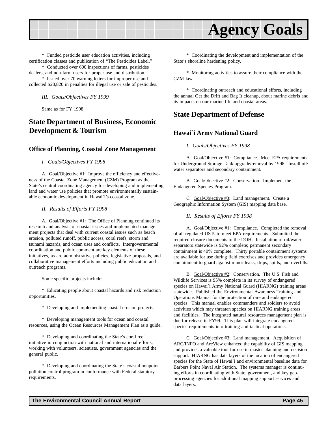<span id="page-44-0"></span>

\* Funded pesticide user education activities, including certification classes and publication of "The Pesticides Label."

\* Conducted over 600 inspections of farms, pesticides dealers, and non-farm users for proper use and distribution.

\* Issued over 70 warning letters for improper use and collected \$20,820 in penalties for illegal use or sale of pesticides.

*III. Goals/Objectives FY 1999*

Same as for FY 1998.

## **State Department of Business, Economic Development & Tourism**

#### **Office of Planning, Coastal Zone Management**

*I. Goals/Objectives FY 1998*

A. Goal/Objective #1: Improve the efficiency and effectiveness of the Coastal Zone Management (CZM) Program as the State's central coordinating agency for developing and implementing land and water use policies that promote environmentally sustainable economic development in Hawai`i's coastal zone.

*II. Results of Efforts FY 1998*

A. Goal/Objective #1: The Office of Planning continued its research and analysis of coastal issues and implemented management projects that deal with current coastal issues such as beach erosion, polluted runoff, public access, coral reefs, storm and tsunami hazards, and ocean uses and conflicts. Intergovernmental coordination and public comment are key elements of these initiatives, as are administrative policies, legislative proposals, and collaborative management efforts including public education and outreach programs.

Some specific projects include:

\* Educating people about coastal hazards and risk reduction opportunities.

\* Developing and implementing coastal erosion projects.

\* Developing management tools for ocean and coastal resources, using the Ocean Resources Management Plan as a guide.

\* Developing and coordinating the State's coral reef initiative in conjunction with national and international efforts, working with volunteers, scientists, government agencies and the general public.

\* Developing and coordinating the State's coastal nonpoint pollution control program in conformance with Federal statutory requirements.

\* Coordinating the development and implementation of the State's shoreline hardening policy.

\* Monitoring activities to assure their compliance with the CZM law.

\* Coordinating outreach and educational efforts, including the annual Get the Drift and Bag It cleanup, about marine debris and its impacts on our marine life and coastal areas.

### **State Department of Defense**

### **Hawai`i Army National Guard**

#### *I. Goals/Objectives FY 1998*

A. Goal/Objective #1: Compliance. Meet EPA requirements for Underground Storage Tank upgrade/removal by 1998. Install oil/ water separators and secondary containment.

B. Goal/Objective #2: Conservation. Implement the Endangered Species Program.

C. Goal/Objective #3: Land management. Create a Geographic Information System (GIS) mapping data base.

*II. Results of Efforts FY 1998*

A. Goal/Objective #1: Compliance. Completed the removal of all regulated USTs to meet EPA requirements. Submitted the required closure documents to the DOH. Installation of oil/water separators statewide is 92% complete; permanent secondary containment is 40% complete. Thirty portable containment systems are available for use during field exercises and provides emergency containment to guard against minor leaks, drips, spills, and overfills.

B. Goal/Objective #2: Conservation. The U.S. Fish and Wildlife Services is 95% complete in its survey of endangered species on Hawai`i Army National Guard (HIARNG) training areas statewide. Published the Environmental Awareness Training and Operations Manual for the protection of rare and endangered species. This manual enables commanders and soldiers to avoid activities which may threaten species on HIARNG training areas and facilities. The integrated natural resources management plan is due for release in FY99. This plan will integrate endangered species requirements into training and tactical operations.

C. Goal/Objective #3: Land management. Acquisition of ARC/INFO and ArcView enhanced the capability of GIS mapping and provides a valuable tool for use in master planning and decision support. HIARNG has data layers of the location of endangered species for the State of Hawai`i and environmental baseline data for Barbers Point Naval Air Station. The systems manager is continuing efforts in coordinating with State, government, and key geoprocessing agencies for additional mapping support services and data layers.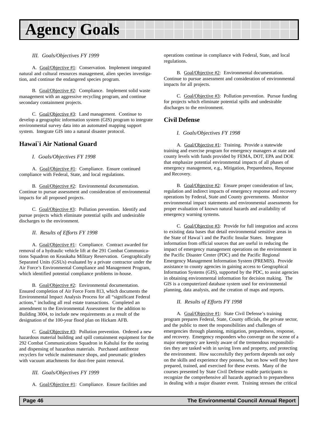## **Agency Goals**

#### *III. Goals/Objectives FY 1999*

A. Goal/Objective #1: Conservation. Implement integrated natural and cultural resources management, alien species investigation, and continue the endangered species program.

B. Goal/Objective #2: Compliance. Implement solid waste management with an aggressive recycling program, and continue secondary containment projects.

C. Goal/Objective #3: Land management. Continue to develop a geographic information system (GIS) program to integrate environmental survey data into an automated mapping support system. Integrate GIS into a natural disaster protocol.

### **Hawai`i Air National Guard**

#### *I. Goals/Objectives FY 1998*

A. Goal/Objective #1: Compliance. Ensure continued compliance with Federal, State, and local regulations.

B. Goal/Objective #2: Environmental documentation. Continue to pursue assessment and consideration of environmental impacts for all proposed projects.

C. Goal/Objective #3: Pollution prevention. Identify and pursue projects which eliminate potential spills and undesirable discharges to the environment.

#### *II. Results of Efforts FY 1998*

A. Goal/Objective #1: Compliance. Contract awarded for removal of a hydraulic vehicle lift at the 291 Combat Communications Squadron on Keaukaha Military Reservation. Geographically Separated Units (GSUs) evaluated by a private contractor under the Air Force's Environmental Compliance and Management Program, which identified potential compliance problems in-house.

B. Goal/Objective #2: Environmental documentation. Ensured completion of Air Force Form 813, which documents the Environmental Impact Analysis Process for all "significant Federal actions," including all real estate transactions. Completed an amendment to the Environmental Assessment for the addition to Building 3004, to include new requirements as a result of the designation of the 100-year flood plan on Hickam AFB.

C. Goal/Objective #3: Pollution prevention. Ordered a new hazardous material building and spill containment equipment for the 292 Combat Communications Squadron in Kahului for the storing and dispensing of hazardous materials. Purchased antifreeze recyclers for vehicle maintenance shops, and pneumatic grinders with vacuum attachments for dust-free paint removal.

#### *III. Goals/Objectives FY 1999*

A. Goal/Objective #1: Compliance. Ensure facilities and

operations continue in compliance with Federal, State, and local regulations.

B. Goal/Objective #2: Environmental documentation. Continue to pursue assessment and consideration of environmental impacts for all projects.

C. Goal/Objective #3: Pollution prevention. Pursue funding for projects which eliminate potential spills and undesirable discharges to the environment.

### **Civil Defense**

#### *I. Goals/Objectives FY 1998*

A. Goal/Objective #1: Training. Provide a statewide training and exercise program for emergency managers at state and county levels with funds provided by FEMA, DOT, EPA and DOE that emphasize potential environmental impacts of all phases of emergency management, e.g., Mitigation, Preparedness, Response and Recovery.

B. Goal/Objective #2: Ensure proper consideration of law, regulation and indirect impacts of emergency response and recovery operations by Federal, State and County governments. Monitor environmental impact statements and environmental assessments for proper evaluation of known natural hazards and availability of emergency warning systems.

C. Goal/Objective #3: Provide for full integration and access to existing data bases that detail environmental sensitive areas in the State of Hawai`i and the Pacific Insular States. Integrate information from official sources that are useful in reducing the impact of emergency management operations on the environment in the Pacific Disaster Center (PDC) and the Pacific Regional Emergency Management Information System (PREMIS). Provide assistance to county agencies in gaining access to Geographical Information Systems (GIS), supported by the PDC, to assist agencies in obtaining environmental information for decision making. The GIS is a computerized database system used for environmental planning, data analysis, and the creation of maps and reports.

#### *II. Results of Efforts FY 1998*

A. Goal/Objective #1: State Civil Defense's training program prepares Federal, State, County officials, the private sector, and the public to meet the responsibilities and challenges of emergencies through planning, mitigation, preparedness, response, and recovery. Emergency responders who converge on the scene of a major emergency are keenly aware of the tremendous responsibilities they are tasked with in saving lives and property, and protecting the environment. How successfully they perform depends not only on the skills and experience they possess, but on how well they have prepared, trained, and exercised for these events. Many of the courses presented by State Civil Defense enable participants to recognize the comprehensive all hazards approach to preparedness in dealing with a major disaster event. Training stresses the critical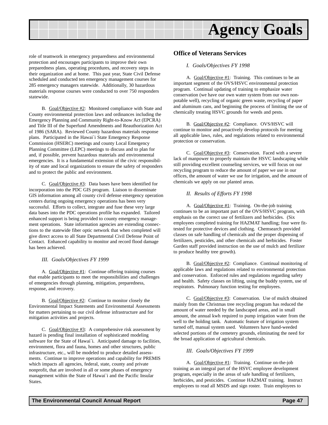

role of teamwork in emergency preparedness and environmental protection and encourages participants to improve their own preparedness plans, operating procedures, and recovery steps in their organization and at home. This past year, State Civil Defense scheduled and conducted ten emergency management courses for 285 emergency managers statewide. Additionally, 30 hazardous materials response courses were conducted to over 750 responders statewide.

B. Goal/Objective #2: Monitored compliance with State and County environmental protection laws and ordinances including the Emergency Planning and Community Right-to-Know Act (EPCRA) and Title III of the Superfund Amendments and Reauthorization Act of 1986 (SARA). Reviewed County hazardous materials response plans. Participated in the Hawai`i State Emergency Response Commission (HSERC) meetings and county Local Emergency Planning Committee (LEPC) meetings to discuss and to plan for and, if possible, prevent hazardous materials and environmental emergencies. It is a fundamental extension of the civic responsibility of state and local organizations to ensure the safety of responders and to protect the public and environment.

C. Goal/Objective #3: Data bases have been identified for incorporation into the PDC GIS program. Liaison to disseminate GIS information among all county civil defense emergency operation centers during ongoing emergency operations has been very successful. Efforts to collect, integrate and fuse these very large data bases into the PDC operations profile has expanded. Tailored enhanced support is being provided to county emergency management operations. State information agencies are extending connections to the statewide fiber optic network that when completed will give direct access to all State Departmental Civil Defense Point of Contact. Enhanced capability to monitor and record flood damage has been achieved.

#### *III. Goals/Objectives FY 1999*

A. Goal/Objective #1: Continue offering training courses that enable participants to meet the responsibilities and challenges of emergencies through planning, mitigation, preparedness, response, and recovery.

B. Goal/Objective #2: Continue to monitor closely the Environmental Impact Statements and Environmental Assessments for matters pertaining to our civil defense infrastructure and for mitigation activities and projects.

C. Goal/Objective #3: A comprehensive risk assessment by hazard is pending final installation of sophisticated modeling software for the State of Hawai`i. Anticipated damage to facilities, environment, flora and fauna, homes and other structures, public infrastructure, etc., will be modeled to produce detailed assessments. Continue to improve operations and capability for PREMIS which impacts all agencies, federal, state, county and private nonprofit, that are involved in all or some phases of emergency management within the State of Hawai`i and the Pacific Insular States.

#### **Office of Veterans Services**

#### *I. Goals/Objectives FY 1998*

A. Goal/Objective #1: Training. This continues to be an important segment of the OVS/HSVC environmental protection program. Continual updating of training to emphasize water conservation (we have our own water system from our own nonpotable well), recycling of organic green waste, recycling of paper and aluminum cans, and beginning the process of limiting the use of chemically treating HSVC grounds for weeds and pests.

B. Goal/Objective #2: Compliance. OVS/HSVC will continue to monitor and proactively develop protocols for meeting all applicable laws, rules, and regulations related to environmental protection or conservation.

C. Goal/Objective #3: Conservation. Faced with a severe lack of manpower to properly maintain the HSVC landscaping while still providing excellent counseling services, we will focus on our recycling program to reduce the amount of paper we use in our offices, the amount of water we use for irrigation, and the amount of chemicals we apply on our planted areas.

#### *II. Results of Efforts FY 1998*

A. Goal/Objective #1: Training. On-the-job training continues to be an important part of the OVS/HSVC program, with emphasis on the correct use of fertilizers and herbicides. (Six employees completed training for HAZMAT handling; four were fittested for protective devices and clothing. Chemsearch provided classes on safe handling of chemicals and the proper dispensing of fertilizers, pesticides, and other chemicals and herbicides. Foster Garden staff provided instruction on the use of mulch and fertilizer to produce healthy tree growth).

B. Goal/Objective #2: Compliance. Continual monitoring of applicable laws and regulations related to environmental protection and conservation. Enforced rules and regulations regarding safety and health. Safety classes on lifting, using the buddy system, use of respirators. Pulmonary function testing for employees.

C. Goal/Objective #3: Conservation. Use of mulch obtained mainly from the Christmas tree recycling program has reduced the amount of water needed by the landscaped areas, and in small amount, the annual kwh required to pump irrigation water from the well to the holding tank. Automatic feature of irrigation system turned off, manual system used. Volunteers have hand-weeded selected portions of the cemetery grounds, eliminating the need for the broad application of agricultural chemicals.

#### *III. Goals/Objectives FY 1999*

A. Goal/Objective #1: Training. Continue on-the-job training as an integral part of the HSVC employee development program, especially in the areas of safe handling of fertilizers, herbicides, and pesticides. Continue HAZMAT training. Instruct employees to read all MSDS and sign roster. Train employees to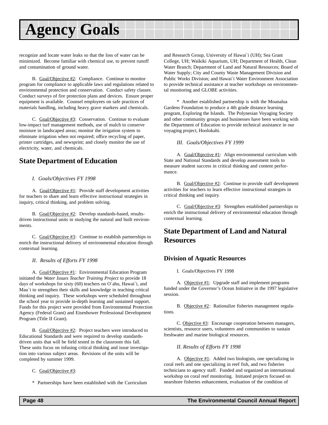## <span id="page-47-0"></span>**Agency Goals**

recognize and locate water leaks so that the loss of water can be minimized. Become familiar with chemical use, to prevent runoff and contamination of ground water.

B. Goal/Objective #2: Compliance. Continue to monitor program for compliance to applicable laws and regulations related to environmental protection and conservation. Conduct safety classes. Conduct surveys of fire protection plans and devices. Ensure proper equipment is available. Counsel employees on safe practices of materials handling, including heavy grave markers and chemicals.

C. Goal/Objective #3: Conservation. Continue to evaluate low-impact turf management methods, use of mulch to conserve moisture in landscaped areas; monitor the irrigation system to eliminate irrigation when not required; office recycling of paper, printer cartridges, and newsprint; and closely monitor the use of electricity, water, and chemicals.

### **State Department of Education**

#### *I. Goals/Objectives FY 1998*

A. Goal/Objective #1: Provide staff development activities for teachers to share and learn effective instructional strategies in inquiry, critical thinking, and problem solving.

B. Goal/Objective #2: Develop standards-based, resultsdriven instructional units in studying the natural and built environments.

C. Goal/Objective #3: Continue to establish partnerships to enrich the instructional delivery of environmental education through contextual learning.

#### *II. Results of Efforts FY 1998*

A. Goal/Objective #1: Environmental Education Program initiated the *Water Issues Teacher Training Project* to provide 18 days of workshops for sixty (60) teachers on O`ahu, Hawai`i, and Mau`i to strengthen their skills and knowledge in teaching critical thinking and inquiry. These workshops were scheduled throughout the school year to provide in-depth learning and sustained support. Funds for this project were provided from Environmental Protection Agency (Federal Grant) and Eisenhower Professional Development Program (Title II Grant).

B. Goal/Objective #2: Project teachers were introduced to Educational Standards and were required to develop standardsdriven units that will be field tested in the classroom this fall. These units focus on infusing critical thinking and issue investigation into various subject areas. Revisions of the units will be completed by summer 1999.

#### C. Goal/Objective #3:

\* Partnerships have been established with the Curriculum

and Research Group, University of Hawai`i (UH); Sea Grant College, UH; Waikiki Aquarium, UH; Department of Health, Clean Water Branch; Department of Land and Natural Resources; Board of Water Supply; City and County Waste Management Division and Public Works Division; and Hawai`i Water Environment Association to provide technical assistance at teacher workshops on environmental monitoring and GLOBE activities.

\* Another established partnership is with the Moanalua Gardens Foundation to produce a 4th grade distance learning program, Exploring the Islands. The Polynesian Voyaging Society and other community groups and businesses have been working with the Department of Education to provide technical assistance in our voyaging project, Hoolokahi.

#### *III. Goals/Objectives FY 1999*

A. Goal/Objective #1: Align environmental curriculum with State and National Standards and develop assessment tools to measure student success in critical thinking and content performance.

B. Goal/Objective #2: Continue to provide staff development activities for teachers to learn effective instructional strategies in critical thinking and inquiry.

C. Goal/Objective #3: Strengthen established partnerships to enrich the instructional delivery of environmental education through contextual learning.

## **State Department of Land and Natural Resources**

### **Division of Aquatic Resources**

I. Goals/Objectives FY 1998

A. Objective #1: Upgrade staff and implement programs funded under the Governor's Ocean Initiative in the 1997 legislative session.

B. Objective #2: Rationalize fisheries management regulations.

C. Objective #3: Encourage cooperation between managers, scientists, resource users, volunteers and communities to sustain freshwater and marine biological resources.

*II. Results of Efforts FY 1998*

A. Objective #1: Added two biologists, one specializing in coral reefs and one specializing in reef fish, and two fisheries technicians to agency staff. Funded and organized an international workshop on coral reef monitoring. Initiated projects focused on nearshore fisheries enhancement, evaluation of the condition of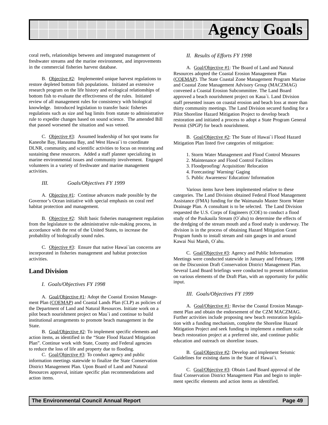

coral reefs, relationships between and integrated management of freshwater streams and the marine environment, and improvements in the commercial fisheries harvest database.

B. Objective #2: Implemented unique harvest regulations to restore depleted bottom fish populations. Initiated an extensive research program on the life history and ecological relationships of bottom fish to evaluate the effectiveness of the rules. Initiated review of all management rules for consistency with biological knowledge. Introduced legislation to transfer basic fisheries regulations such as size and bag limits from statute to administrative rule to expedite changes based on sound science. The amended Bill that passed worsened the situation and was vetoed.

C. Objective #3: Assumed leadership of hot spot teams for Kaneohe Bay, Hanauma Bay, and West Hawai`i to coordinate DLNR, community, and scientific activities to focus on restoring and sustaining these resources. Added a staff planner specializing in marine environmental issues and community involvement. Engaged volunteers in a variety of freshwater and marine management activities.

*III. Goals/Objectives FY 1999*

A. Objective #1: Continue advances made possible by the Governor's Ocean initiative with special emphasis on coral reef habitat protection and management.

B. Objective #2: Shift basic fisheries management regulation from the legislature to the administrative rule-making process, in accordance with the rest of the United States, to increase the probability of biologically sound rules.

C. Objective #3: Ensure that native Hawai`ian concerns are incorporated in fisheries management and habitat protection activities.

#### **Land Division**

#### *I. Goals/Objectives FY 1998*

A. Goal/Objective #1: Adopt the Coastal Erosion Management Plan (COEMAP) and Coastal Lands Plan (CLP) as policies of the Department of Land and Natural Resources. Initiate work on a pilot beach nourishment project on Mau`i and continue to build institutional arrangements to promote beach management in the State.

B. Goal/Objective #2: To implement specific elements and action items, as identified in the "State Flood Hazard Mitigation Plan". Continue work with State, County and Federal agencies to reduce the loss of life and property due to flooding.

C. Goal/Objective #3: To conduct agency and public information meetings statewide to finalize the State Conservation District Management Plan. Upon Board of Land and Natural Resources approval, initiate specific plan recommendations and action items.

#### *II. Results of Efforts FY 1998*

A. Goal/Objective #1: The Board of Land and Natural Resources adopted the Coastal Erosion Management Plan (COEMAP). The State Coastal Zone Management Program Marine and Coastal Zone Management Advisory Group (MACZMAG) convened a Coastal Erosion Subcommittee. The Land Board approved a beach nourishment project on Kaua`i. Land Division staff presented issues on coastal erosion and beach loss at more than thirty community meetings. The Land Division secured funding for a Pilot Shoreline Hazard Mitigation Project to develop beach restoration and initiated a process to adopt a State Program General Permit (SPGP) for beach nourishment.

B. Goal/Objective #2: The State of Hawai`i Flood Hazard Mitigation Plan listed five categories of mitigation:

- 1. Storm Water Management and Flood Control Measures
- 2. Maintenance and Flood Control Facilities
- 3. Floodproofing/ Acquisition/ Relocation
- 4. Forecasting/ Warning/ Gaging
- 5. Public Awareness/ Education/ Information

Various items have been implemented relative to these categories. The Land Division obtained Federal Flood Management Assistance (FMA) funding for the Waimanalo Master Storm Water Drainage Plan. A consultant is to be selected. The Land Division requested the U.S. Corps of Engineers (COE) to conduct a flood study of the Paukauila Stream (O`ahu) to determine the effects of the dredging of the stream mouth and a flood study is underway. The division is in the process of obtaining Hazard Mitigation Grant Program funds to install stream and rain gauges in and around Kawai Nui Marsh, O`ahu.

C. Goal/Objective #3: Agency and Public Information Meetings were conducted statewide in January and February, 1998 on the Discussion Draft Conservation District Management Plan. Several Land Board briefings were conducted to present information on various elements of the Draft Plan, with an opportunity for public input.

#### *III. Goals/Objectives FY 1999*

A. Goal/Objective #1: Revise the Coastal Erosion Management Plan and obtain the endorsement of the CZM MACZMAG. Further activities include proposing new beach restoration legislation with a funding mechanism, complete the Shoreline Hazard Mitigation Project and seek funding to implement a medium scale beach restoration project at a preferred site, and continue public education and outreach on shoreline issues.

B. Goal/Objective #2: Develop and implement Seismic Guidelines for existing dams in the State of Hawai`i.

C. Goal/Objective #3: Obtain Land Board approval of the final Conservation District Management Plan and begin to implement specific elements and action items as identified.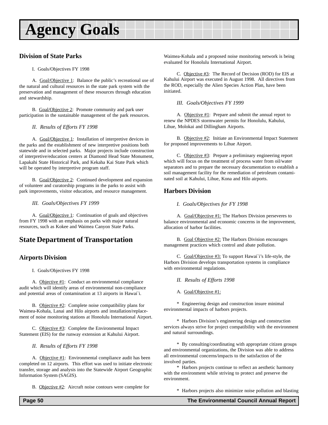## <span id="page-49-0"></span>**Agency Goals**

### **Division of State Parks**

#### I. Goals/Objectives FY 1998

A. Goal/Objective 1: Balance the public's recreational use of the natural and cultural resources in the state park system with the preservation and management of these resources through education and stewardship.

B. Goal/Objective 2: Promote community and park user participation in the sustainable management of the park resources.

*II. Results of Efforts FY 1998*

A. Goal/Objective 1: Installation of interpretive devices in the parks and the establishment of new interpretive positions both statewide and in selected parks. Major projects include construction of interpretive/education centers at Diamond Head State Monument, Lapakahi State Historical Park, and Kekaha Kai State Park which will be operated by interpretive program staff.

B. Goal/Objective 2: Continued development and expansion of volunteer and curatorship programs in the parks to assist with park improvements, visitor education, and resource management.

*III. Goals/Objectives FY 1999*

A. Goal/Objective 1: Continuation of goals and objectives from FY 1998 with an emphasis on parks with major natural resources, such as Kokee and Waimea Canyon State Parks.

## **State Department of Transportation**

### **Airports Division**

I. Goals/Objectives FY 1998

A. Objective #1: Conduct an environmental compliance audit which will identify areas of environmental non-compliance and potential areas of contamination at 13 airports in Hawai`i.

B. Objective #2: Complete noise compatibility plans for Waimea-Kohala, Lanai and Hilo airports and installation/replacement of noise monitoring stations at Honolulu International Airport.

C. Objective #3: Complete the Environmental Impact Statement (EIS) for the runway extension at Kahului Airport.

*II. Results of Efforts FY 1998*

A. Objective #1: Environmental compliance audit has been completed on 12 airports. This effort was used to initiate electronic transfer, storage and analysis into the Statewide Airport Geographic Information System (SAGIS).

B. Objective #2: Aircraft noise contours were complete for

Waimea-Kohala and a proposed noise monitoring network is being evaluated for Honolulu International Airport.

C. Objective #3: The Record of Decision (ROD) for EIS at Kahului Airport was executed in August 1998. All directives from the ROD, especially the Alien Species Action Plan, have been initiated.

*III. Goals/Objectives FY 1999*

A. Objective #1: Prepare and submit the annual report to renew the NPDES stormwater permits for Honolulu, Kahului, Lihue, Molokai and Dillingham Airports.

B. Objective #2: Initiate an Environmental Impact Statement for proposed improvements to Lihue Airport.

C. Objective #3: Prepare a preliminary engineering report which will focus on the treatment of process water from oil/water separators and to prepare the necessary documentation to establish a soil management facility for the remediation of petroleum contaminated soil at Kahului, Lihue, Kona and Hilo airports.

### **Harbors Division**

#### *I. Goals/Objectives for FY 1998*

A. Goal/Objective #1: The Harbors Division perseveres to balance environmental and economic concerns in the improvement, allocation of harbor facilities.

B. Goal Objective #2: The Harbors Division encourages management practices which control and abate pollution.

C. Goal/Objective #3: To support Hawai`i's life-style, the Harbors Division develops transportation systems in compliance with environmental regulations.

#### *II. Results of Efforts 1998*

A. Goal/Objective #1:

\* Engineering design and construction insure minimal environmental impacts of harbors projects.

\* Harbors Division's engineering design and construction services always strive for project compatibility with the environment and natural surroundings.

\* By consulting/coordinating with appropriate citizen groups and environmental organizations, the Division was able to address all environmental concerns/impacts to the satisfaction of the involved parties.

\* Harbors projects continue to reflect an aesthetic harmony with the environment while striving to protect and preserve the environment.

\* Harbors projects also minimize noise pollution and blasting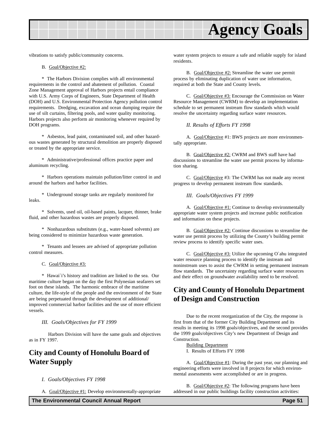<span id="page-50-0"></span>

vibrations to satisfy public/community concerns.

#### B. Goal/Objective #2:

\* The Harbors Division complies with all environmental requirements in the control and abatement of pollution. Coastal Zone Management approval of Harbors projects entail compliance with U.S. Army Corps of Engineers, State Department of Health (DOH) and U.S. Environmental Protection Agency pollution control requirements. Dredging, excavation and ocean dumping require the use of silt curtains, filtering pools, and water quality monitoring. Harbors projects also perform air monitoring whenever required by DOH programs.

\* Asbestos, lead paint, contaminated soil, and other hazardous wastes generated by structural demolition are properly disposed or treated by the appropriate service.

\* Administrative/professional offices practice paper and aluminum recycling.

\* Harbors operations maintain pollution/litter control in and around the harbors and harbor facilities.

\* Underground storage tanks are regularly monitored for leaks.

\* Solvents, used oil, oil-based paints, lacquer, thinner, brake fluid, and other hazardous wastes are properly disposed.

\* Nonhazardous substitutes (e.g., water-based solvents) are being considered to minimize hazardous waste generation.

\* Tenants and lessees are advised of appropriate pollution control measures.

C. Goal/Objective #3:

\* Hawai`i's history and tradition are linked to the sea. Our maritime culture began on the day the first Polynesian seafarers set foot on these islands. The harmonic embrace of the maritime culture, the life-style of the people and the environment of the State are being perpetuated through the development of additional/ improved commercial harbor facilities and the use of more efficient vessels.

*III. Goals/Objectives for FY 1999*

Harbors Division will have the same goals and objectives as in FY 1997.

## **City and County of Honolulu Board of Water Supply**

*I. Goals/Objectives FY 1998*

A. Goal/Objective #1: Develop environmentally-appropriate

water system projects to ensure a safe and reliable supply for island residents.

B. Goal/Objective #2: Streamline the water use permit process by eliminating duplication of water use information, required at both the State and County levels.

C. Goal/Objective #3: Encourage the Commission on Water Resource Management (CWRM) to develop an implementation schedule to set permanent instream flow standards which would resolve the uncertainty regarding surface water resources.

*II. Results of Efforts FY 1998*

A. Goal/Objective #1: BWS projects are more environmentally appropriate.

B. Goal/Objective #2: CWRM and BWS staff have had discussions to streamline the water use permit process by information sharing.

C. Goal/Objective #3: The CWRM has not made any recent progress to develop permanent instream flow standards.

*III. Goals/Objectives FY 1999*

A. Goal/Objective #1: Continue to develop environmentally appropriate water system projects and increase public notification and information on these projects.

B. Goal/Objective #2: Continue discussions to streamline the water use permit process by utilizing the County's building permit review process to identify specific water uses.

C. Goal/Objective #3: Utilize the upcoming O`ahu integrated water resource planning process to identify the instream and noninstream uses to assist the CWRM in setting permanent instream flow standards. The uncertainty regarding surface water resources and their effect on groundwater availability need to be resolved.

## **City and County of Honolulu Department of Design and Construction**

Due to the recent reorganization of the City, the response is first from that of the former City Building Department and its results in meeting its 1998 goals/objectives, and the second provides the 1999 goals/objectives City's new Department of Design and Construction.

Building Department I. Results of Efforts FY 1998

A. Goal/Objective #1: During the past year, our planning and engineering efforts were involved in 8 projects for which environmental assessments were accomplished or are in progress.

B. Goal/Objective #2: The following programs have been addressed in our public buildings facility construction activities: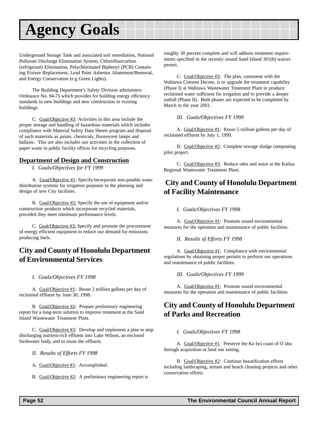## <span id="page-51-0"></span>**Agency Goals**

Underground Storage Tank and associated soil remediation, National Pollutant Discharge Elimination System, Chlorofluorcarbon (refrigerant) Elimination, Polychlorinated Biphenyl (PCB) Containing Fixture Replacement, Lead Paint Asbestos Abatement/Removal, and Energy Conservation (e.g Green Lights).

The Building Department's Safety Division administers Ordinance No. 94-75 which provides for building energy efficiency standards in new buildings and new construction in existing buildings.

C. Goal/Objective #3: Activities in this area include the proper storage and handling of hazardous materials which includes compliance with Material Safety Data Sheets program and disposal of such materials as paints, chemicals, fluorescent lamps and ballasts. This are also includes our activities in the collection of paper waste in public facility offices for recycling purposes.

### **Department of Design and Construction**

*I. Goals/Objectives for FY 1999*

A. Goal/Objective #1: Specify/incorporate non-potable water distribution systems for irrigation purposes in the planning and design of new City facilities.

B. Goal/Objective #2: Specify the use of equipment and/or construction products which incorporate recycled materials, provided they meet minimum performance levels.

C. Goal/Objective #3: Specify and promote the procurement of energy efficient equipment to reduce our demand for emissions producing fuels.

## **City and County of Honolulu Department of Environmental Services**

#### *I. Goals/Objectives FY 1998*

A. Goal/Objective #1: Reuse 2 million gallons per day of reclaimed effluent by June 30, 1998.

B. Goal/Objective #2: Prepare preliminary engineering report for a long-term solution to improve treatment at the Sand Island Wastewater Treatment Plant.

C. Goal/Objective #3: Develop and implement a plan to stop discharging nutrient-rich effluent into Lake Wilson, an enclosed freshwater body, and to reuse the effluent.

*II. Results of Efforts FY 1998*

A. Goal/Objective #1: Accomplished.

B. Goal/Objective #2: A preliminary engineering report is

roughly 30 percent complete and will address treatment requirements specified in the recently issued Sand Island 301(h) waiver permit.

C. Goal/Objective #3: The plan, consistent with the Wahiawa Consent Decree, is to upgrade the treatment capability (Phase I) at Wahiawa Wastewater Treatment Plant to produce reclaimed water sufficient for irrigation and to provide a deeper outfall (Phase II). Both phases are expected to be completed by March in the year 2001.

#### *III. Goals/Objectives FY 1999*

A. Goal/Objective #1: Reuse 5 million gallons per day of reclaimed effluent by July 1, 1999.

B. Goal/Objective #2: Complete sewage sludge composting pilot project.

C. Goal/Objective #3: Reduce odor and noise at the Kailua Regional Wastewater Treatment Plant.

## **City and County of Honolulu Department of Facility Maintenance**

*I. Goals/Objectives FY 1998*

A. Goal/Objective #1: Promote sound environmental measures for the operation and maintenance of public facilities.

*II. Results of Efforts FY 1998*

A. Goal/Objective #1: Compliance with environmental regulations by obtaining proper permits to perform our operations and maintenance of public facilities.

*III. Goals/Objectives FY 1999*

A. Goal/Objective #1: Promote sound environmental measures for the operation and maintenance of public facilities.

## **City and County of Honolulu Department of Parks and Recreation**

#### *I. Goals/Objectives FY 1998*

A. Goal/Objective #1: Preserve the Ka Iwi coast of O`ahu through acquisition or land use zoning.

B. Goal/Objective #2: Continue beautification efforts including landscaping, stream and beach cleaning projects and other conservation efforts.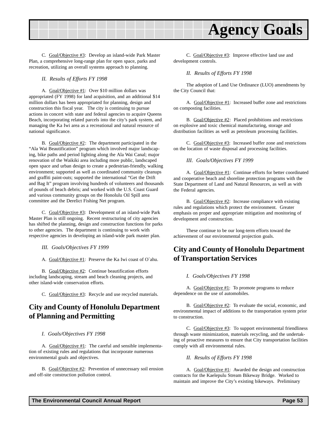<span id="page-52-0"></span>

C. Goal/Objective #3: Develop an island-wide Park Master Plan, a comprehensive long-range plan for open space, parks and recreation, utilizing an overall systems approach to planning.

*II. Results of Efforts FY 1998*

A. Goal/Objective #1: Over \$10 million dollars was appropriated (FY 1998) for land acquisition, and an additional \$14 million dollars has been appropriated for planning, design and construction this fiscal year. The city is continuing to pursue actions in concert with state and federal agencies to acquire Queens Beach, incorporating related parcels into the city's park system, and managing the Ka Iwi area as a recreational and natural resource of national significance.

B. Goal/Objective #2: The department participated in the "Ala Wai Beautification" program which involved major landscaping, bike paths and period lighting along the Ala Wai Canal; major renovation of the Waikiki area including more public, landscaped open space and urban design to create a pedestrian-friendly, walking environment; supported as well as coordinated community cleanups and graffiti paint-outs; supported the international "Get the Drift and Bag It" program involving hundreds of volunteers and thousands of pounds of beach debris; and worked with the U.S. Coast Guard and various community groups on the Honolulu Oil Spill area committee and the Derelict Fishing Net program.

C. Goal/Objective #3: Development of an island-wide Park Master Plan is still ongoing. Recent restructuring of city agencies has shifted the planning, design and construction functions for parks to other agencies. The department is continuing to work with respective agencies in developing an island-wide park master plan.

*III. Goals/Objectives FY 1999*

A. Goal/Objective #1: Preserve the Ka Iwi coast of O`ahu.

B. Goal/Objective #2: Continue beautification efforts including landscaping, stream and beach cleaning projects, and other island-wide conservation efforts.

C. Goal/Objective #3: Recycle and use recycled materials.

## **City and County of Honolulu Department of Planning and Permitting**

#### *I. Goals/Objectives FY 1998*

A. Goal/Objective #1: The careful and sensible implementation of existing rules and regulations that incorporate numerous environmental goals and objectives.

B. Goal/Objective #2: Prevention of unnecessary soil erosion and off-site construction pollution control.

C. Goal/Objective #3: Improve effective land use and development controls.

#### *II. Results of Efforts FY 1998*

The adoption of Land Use Ordinance (LUO) amendments by the City Council that:

A. Goal/Objective #1: Increased buffer zone and restrictions on composting facilities.

B. Goal/Objective #2: Placed prohibitions and restrictions on explosive and toxic chemical manufacturing, storage and distribution facilities as well as petroleum processing facilities.

C. Goal/Objective #3: Increased buffer zone and restrictions on the location of waste disposal and processing facilities.

#### *III. Goals/Objectives FY 1999*

A. Goal/Objective #1: Continue efforts for better coordinated and cooperative beach and shoreline protection programs with the State Department of Land and Natural Resources, as well as with the Federal agencies.

B. Goal/Objective #2: Increase compliance with existing rules and regulations which protect the environment. Greater emphasis on proper and appropriate mitigation and monitoring of development and construction.

These continue to be our long-term efforts toward the achievement of our environmental projection goals.

## **City and County of Honolulu Department of Transportation Services**

#### *I. Goals/Objectives FY 1998*

A. Goal/Objective #1: To promote programs to reduce dependence on the use of automobiles.

B. Goal/Objective #2: To evaluate the social, economic, and environmental impact of additions to the transportation system prior to construction.

C. Goal/Objective #3: To support environmental friendliness through waste minimization, materials recycling, and the undertaking of proactive measures to ensure that City transportation facilities comply with all environmental rules.

#### *II. Results of Efforts FY 1998*

A. Goal/Objective #1: Awarded the design and construction contracts for the Kaelepulu Stream Bikeway Bridge. Worked to maintain and improve the City's existing bikeways. Preliminary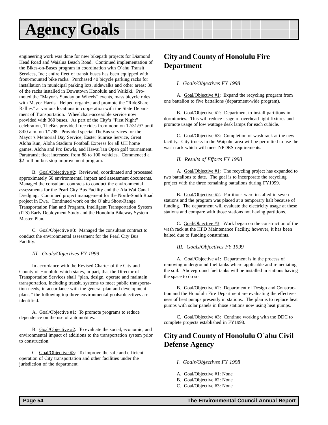## <span id="page-53-0"></span>**Agency Goals**

engineering work was done for new bikepath projects for Diamond Head Road and Waialua Beach Road. Continued implementation of the Bikes-on-Buses program in coordination with O`ahu Transit Services, Inc.; entire fleet of transit buses has been equipped with front-mounted bike racks. Purchased 40 bicycle parking racks for installation in municipal parking lots, sidewalks and other areas; 30 of the racks installed in Downtown Honolulu and Waikiki. Promoted the "Mayor's Sunday on Wheels" events, mass bicycle rides with Mayor Harris. Helped organize and promote the "RideShare Rallies" at various locations in cooperation with the State Department of Transportation. Wheelchair-accessible service now provided with 360 buses. As part of the City's "First Night" celebration, TheBus provided free rides from noon on 12/31/97 until 8:00 a.m. on 1/1/98. Provided special TheBus services for the Mayor's Memorial Day Service, Easter Sunrise Service, Great Aloha Run, Aloha Stadium Football Express for all UH home games, Aloha and Pro Bowls, and Hawai`ian Open golf tournament. Paratransit fleet increased from 88 to 100 vehicles. Commenced a \$2 million bus stop improvement program.

B. Goal/Objective #2: Reviewed, coordinated and processed approximately 50 environmental impact and assessment documents. Managed the consultant contracts to conduct the environmental assessments for the Pearl City Bus Facility and the Ala Wai Canal Dredging. Continued project management for the North-South Road project in Ewa. Continued work on the O`ahu Short-Range Transportation Plan and Program, Intelligent Transportation System (ITS) Early Deployment Study and the Honolulu Bikeway System Master Plan.

C. Goal/Objective #3: Managed the consultant contract to conduct the environmental assessment for the Pearl City Bus Facility.

#### *III. Goals/Objectives FY 1999*

In accordance with the Revised Charter of the City and County of Honolulu which states, in part, that the Director of Transportation Services shall "plan, design, operate and maintain transportation, including transit, systems to meet public transportation needs, in accordance with the general plan and development plans," the following top three environmental goals/objectives are identified:

A. Goal/Objective #1: To promote programs to reduce dependence on the use of automobiles.

B. Goal/Objective #2: To evaluate the social, economic, and environmental impact of additions to the transportation system prior to construction.

C. Goal/Objective #3: To improve the safe and efficient operation of City transportation and other facilities under the jurisdiction of the department.

## **City and County of Honolulu Fire Department**

#### *I. Goals/Objectives FY 1998*

A. Goal/Objective #1: Expand the recycling program from one battalion to five battalions (department-wide program).

B. Goal/Objective #2: Department to install partitions in dormitories. This will reduce usage of overhead light fixtures and promote usage of low wattage desk lamps for each cubicle.

C. Goal/Objective #3: Completion of wash rack at the new facility. City trucks in the Waipahu area will be permitted to use the wash rack which will meet NPDES requirements.

#### *II. Results of Efforts FY 1998*

A. Goal/Objective #1: The recycling project has expanded to two battalions to date. The goal is to incorporate the recycling project with the three remaining battalions during FY1999.

B. Goal/Objective #2: Partitions were installed in seven stations and the program was placed at a temporary halt because of funding. The department will evaluate the electricity usage at these stations and compare with those stations not having partitions.

C. Goal/Objective #3: Work began on the construction of the wash rack at the HFD Maintenance Facility, however, it has been halted due to funding constraints.

#### *III. Goals/Objectives FY 1999*

A. Goal/Objective #1: Department is in the process of removing underground fuel tanks where applicable and remediating the soil. Aboveground fuel tanks will be installed in stations having the space to do so.

B. Goal/Objective #2: Department of Design and Construction and the Honolulu Fire Department are evaluating the effectiveness of heat pumps presently in stations. The plan is to replace heat pumps with solar panels in those stations now using heat pumps.

C. Goal/Objective #3: Continue working with the DDC to complete projects established in FY1998.

## **City and County of Honolulu O`ahu Civil Defense Agency**

*I. Goals/Objectives FY 1998*

- A. Goal/Objective #1: None
- B. Goal/Objective #2: None
- C. Goal/Objective #3: None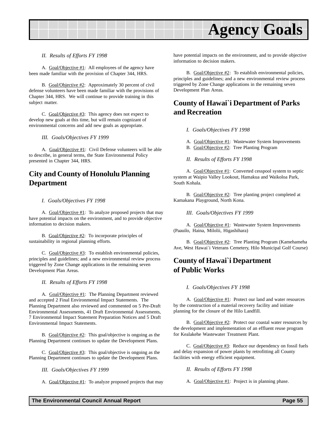<span id="page-54-0"></span>

#### *II. Results of Efforts FY 1998*

A. Goal/Objective #1: All employees of the agency have been made familiar with the provision of Chapter 344, HRS.

B. Goal/Objective #2: Approximately 30 percent of civil defense volunteers have been made familiar with the provisions of Chapter 344, HRS. We will continue to provide training in this subject matter.

C. Goal/Objective #3: This agency does not expect to develop new goals at this time, but will remain cognizant of environmental concerns and add new goals as appropriate.

*III. Goals/Objectives FY 1999*

A. Goal/Objective #1: Civil Defense volunteers will be able to describe, in general terms, the State Environmental Policy presented in Chapter 344, HRS.

## **City and County of Honolulu Planning Department**

#### *I. Goals/Objectives FY 1998*

A. Goal/Objective #1: To analyze proposed projects that may have potential impacts on the environment, and to provide objective information to decision makers.

B. Goal/Objective #2: To incorporate principles of sustainability in regional planning efforts.

C. Goal/Objective #3: To establish environmental policies, principles and guidelines; and a new environmental review process triggered by Zone Change applications in the remaining seven Development Plan Areas.

*II. Results of Efforts FY 1998*

A. Goal/Objective #1: The Planning Department reviewed and accepted 2 Final Environmental Impact Statements. The Planning Department also reviewed and commented on 5 Pre-Draft Environmental Assessments, 41 Draft Environmental Assessments, 7 Environmental Impact Statement Preparation Notices and 5 Draft Environmental Impact Statements.

B. Goal/Objective #2: This goal/objective is ongoing as the Planning Department continues to update the Development Plans.

C. Goal/Objective #3: This goal/objective is ongoing as the Planning Department continues to update the Development Plans.

*III. Goals/Objectives FY 1999*

A. Goal/Objective #1: To analyze proposed projects that may

have potential impacts on the environment, and to provide objective information to decision makers.

B. Goal/Objective #2: To establish environmental policies, principles and guidelines; and a new environmental review process triggered by Zone Change applications in the remaining seven Development Plan Areas.

## **County of Hawai`i Department of Parks and Recreation**

- *I. Goals/Objectives FY 1998*
- A. Goal/Objective #1: Wastewater System Improvements
- B. Goal/Objective #2: Tree Planting Program
- *II. Results of Efforts FY 1998*

A. Goal/Objective #1: Converted cesspool system to septic system at Waipio Valley Lookout, Hamakua and Waikoloa Park, South Kohala.

B. Goal/Objective #2: Tree planting project completed at Kamakana Playground, North Kona.

*III. Goals/Objectives FY 1999*

A. Goal/Objective #1: Wastewater System Improvements (Paauilo, Haina, Milolii, Higashihara)

B. Goal/Objective #2: Tree Planting Program (Kamehameha Ave, West Hawai`i Veterans Cemetery, Hilo Municipal Golf Course)

## **County of Hawai`i Department of Public Works**

*I. Goals/Objectives FY 1998*

A. Goal/Objective #1: Protect our land and water resources by the construction of a material recovery facility and initiate planning for the closure of the Hilo Landfill.

B. Goal/Objective #2: Protect our coastal water resources by the development and implementation of an effluent reuse program for Kealakehe Wastewater Treatment Plant.

C. Goal/Objective #3: Reduce our dependency on fossil fuels and delay expansion of power plants by retrofitting all County facilities with energy efficient equipment.

*II. Results of Efforts FY 1998*

A. Goal/Objective #1: Project is in planning phase.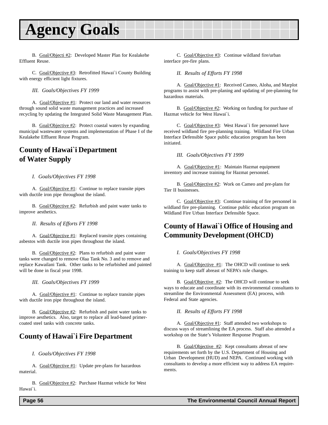## <span id="page-55-0"></span>**Agency Goals**

B. Goal/Objecti #2: Developed Master Plan for Kealakehe Effluent Reuse.

C. Goal/Objective #3: Retrofitted Hawai`i County Building with energy efficient light fixtures.

*III. Goals/Objectives FY 1999*

A. Goal/Objective #1: Protect our land and water resources through sound solid waste management practices and increased recycling by updating the Integrated Solid Waste Management Plan.

B. Goal/Objective #2: Protect coastal waters by expanding municipal wastewater systems and implementation of Phase I of the Kealakehe Effluent Reuse Program.

## **County of Hawai`i Department of Water Supply**

#### *I. Goals/Objectives FY 1998*

A. Goal/Objective #1: Continue to replace transite pipes with ductile iron pipe throughout the island.

B. Goal/Objective #2: Refurbish and paint water tanks to improve aesthetics.

*II. Results of Efforts FY 1998*

A. Goal/Objective #1: Replaced transite pipes containing asbestos with ductile iron pipes throughout the island.

B. Goal/Objective #2: Plans to refurbish and paint water tanks were changed to remove Olaa Tank No. 3 and to remove and replace Kawailani Tank. Other tanks to be refurbished and painted will be done in fiscal year 1998.

*III. Goals/Objectives FY 1999*

A. Goal/Objective #1: Continue to replace transite pipes with ductile iron pipe throughout the island.

B. Goal/Objective #2: Refurbish and paint water tanks to improve aesthetics. Also, target to replace all lead-based primercoated steel tanks with concrete tanks.

## **County of Hawai`i Fire Department**

*I. Goals/Objectives FY 1998*

A. Goal/Objective #1: Update pre-plans for hazardous material.

B. Goal/Objective #2: Purchase Hazmat vehicle for West Hawai`i.

C. Goal/Objective #3: Continue wildland fire/urban interface pre-fire plans.

*II. Results of Efforts FY 1998*

A. Goal/Objective #1: Received Cameo, Aloha, and Marplot programs to assist with pre-planing and updating of pre-planning for hazardous materials.

B. Goal/Objective #2: Working on funding for purchase of Hazmat vehicle for West Hawai`i.

C. Goal/Objective #3: West Hawai`i fire personnel have received wildland fire pre-planning training. Wildland Fire Urban Interface Defensible Space public education program has been initiated.

*III. Goals/Objectives FY 1999*

A. Goal/Objective #1: Maintain Hazmat equipment inventory and increase training for Hazmat personnel.

B. Goal/Objective #2: Work on Cameo and pre-plans for Tier II businesses.

C. Goal/Objective #3: Continue training of fire personnel in wildland fire pre-planning. Continue public education program on Wildland Fire Urban Interface Defensible Space.

## **County of Hawai`i Office of Housing and Community Development (OHCD)**

#### *I. Goals/Objectives FY 1998*

A. Goal/Objective #1: The OHCD will continue to seek training to keep staff abreast of NEPA's rule changes.

B. Goal/Objective #2: The OHCD will continue to seek ways to educate and coordinate with its environmental consultants to streamline the Environmental Assessment (EA) process, with Federal and State agencies.

#### *II. Results of Efforts FY 1998*

A. Goal/Objective #1: Staff attended two workshops to discuss ways of streamlining the EA process. Staff also attended a workshop on the State's Volunteer Response Program.

B. Goal/Objective #2: Kept consultants abreast of new requirements set forth by the U.S. Department of Housing and Urban Development (HUD) and NEPA. Continued working with consultants to develop a more efficient way to address EA requirements.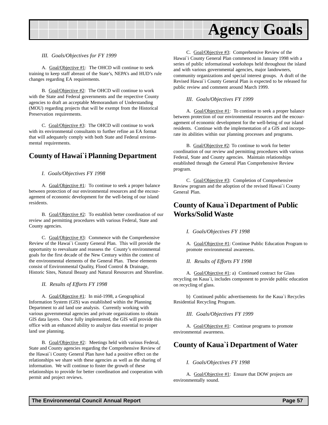<span id="page-56-0"></span>

#### *III. Goals/Objectives for FY 1999*

A. Goal/Objective #1: The OHCD will continue to seek training to keep staff abreast of the State's, NEPA's and HUD's rule changes regarding EA requirements.

B. Goal/Objective #2: The OHCD will continue to work with the State and Federal governments and the respective County agencies to draft an acceptable Memorandum of Understanding (MOU) regarding projects that will be exempt from the Historical Preservation requirements.

C. Goal/Objective #3: The OHCD will continue to work with its environmental consultants to further refine an EA format that will adequately comply with both State and Federal environmental requirements.

### **County of Hawai`i Planning Department**

#### *I. Goals/Objectives FY 1998*

A. Goal/Objective #1: To continue to seek a proper balance between protection of our environmental resources and the encouragement of economic development for the well-being of our island residents.

B. Goal/Objective #2: To establish better coordination of our review and permitting procedures with various Federal, State and County agencies.

C. Goal/Objective #3: Commence with the Comprehensive Review of the Hawai`i County General Plan. This will provide the opportunity to reevaluate and reassess the County's environmental goals for the first decade of the New Century within the context of the environmental elements of the General Plan. These elements consist of Environmental Quality, Flood Control & Drainage, Historic Sites, Natural Beauty and Natural Resources and Shoreline.

#### *II. Results of Efforts FY 1998*

A. Goal/Objective #1: In mid-1998, a Geographical Information System (GIS) was established within the Planning Department to aid land use analysis. Currently working with various governmental agencies and private organizations to obtain GIS data layers. Once fully implemented, the GIS will provide this office with an enhanced ability to analyze data essential to proper land use planning.

B. Goal/Objective #2: Meetings held with various Federal, State and County agencies regarding the Comprehensive Review of the Hawai`i County General Plan have had a positive effect on the relationships we share with these agencies as well as the sharing of information. We will continue to foster the growth of these relationships to provide for better coordination and cooperation with permit and project reviews.

C. Goal/Objective #3: Comprehensive Review of the Hawai`i County General Plan commenced in January 1998 with a series of public informational workshops held throughout the island and with various governmental agencies, major landowners, community organizations and special interest groups. A draft of the Revised Hawai`i County General Plan is expected to be released for public review and comment around March 1999.

#### *III. Goals/Objectives FY 1999*

A. Goal/Objective #1: To continue to seek a proper balance between protection of our environmental resources and the encouragement of economic development for the well-being of our island residents. Continue with the implementation of a GIS and incorporate its abilities within our planning processes and programs.

B. Goal/Objective #2: To continue to work for better coordination of our review and permitting procedures with various Federal, State and County agencies. Maintain relationships established through the General Plan Comprehensive Review program.

C. Goal/Objective #3: Completion of Comprehensive Review program and the adoption of the revised Hawai`i County General Plan.

### **County of Kaua`i Department of Public Works/Solid Waste**

#### *I. Goals/Objectives FY 1998*

A. Goal/Objective #1: Continue Public Education Program to promote environmental awareness.

#### *II. Results of Efforts FY 1998*

A. Goal/Objective #1: a) Continued contract for Glass recycling on Kaua`i, includes component to provide public education on recycling of glass.

b) Continued public advertisements for the Kaua`i Recycles Residential Recycling Program.

#### *III. Goals/Objectives FY 1999*

A. Goal/Objective #1: Continue programs to promote environmental awareness.

### **County of Kaua`i Department of Water**

#### *I. Goals/Objectives FY 1998*

A. Goal/Objective #1: Ensure that DOW projects are environmentally sound.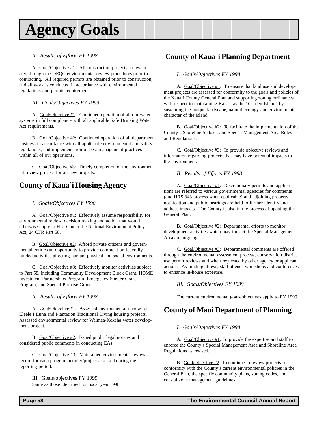## <span id="page-57-0"></span>**Agency Goals**

#### *II. Results of Efforts FY 1998*

A. Goal/Objective #1: All construction projects are evaluated through the OEQC environmental review procedures prior to contracting. All required permits are obtained prior to construction, and all work is conducted in accordance with environmental regulations and permit requirements.

*III. Goals/Objectives FY 1999*

A. Goal/Objective #1: Continued operation of all our water systems in full compliance with all applicable Safe Drinking Water Act requirements.

B. Goal/Objective #2: Continued operation of all department business in accordance with all applicable environmental and safety regulations, and implementation of best management practices within all of our operations.

C. Goal/Objective #3: Timely completion of the environmental review process for all new projects.

## **County of Kaua`i Housing Agency**

#### *I. Goals/Objectives FY 1998*

A. Goal/Objective #1: Effectively assume responsibility for environmental review, decision making and action that would otherwise apply to HUD under the National Environment Policy Act, 24 CFR Part 58.

B. Goal/Objective #2: Afford private citizens and governmental entities an opportunity to provide comment on federally funded activities affecting human, physical and social environments.

C. Goal/Objective #3: Effectively monitor activities subject to Part 58, including Community Development Block Grant, HOME Investment Partnerships Program, Emergency Shelter Grant Program, and Special Purpose Grants.

*II. Results of Efforts FY 1998*

A. Goal/Objective #1: Assessed environmental review for Eleele I'Luna and Plantation Traditional Living housing projects. Assessed environmental review for Waimea-Kekaha water development project.

B. Goal/Objective #2: Issued public legal notices and considered public comments in conducting EAs.

C. Goal/Objective #3: Maintained environmental review record for each program activity/project assessed during the reporting period.

> III. Goals/objectives FY 1999 Same as those identified for fiscal year 1998.

## **County of Kaua`i Planning Department**

#### *I. Goals/Objectives FY 1998*

A. Goal/Objective #1: To ensure that land use and development projects are assessed for conformity to the goals and policies of the Kaua`i County General Plan and supporting zoning ordinances with respect to maintaining Kaua`i as the "Garden Island" by sustaining the unique landscape, natural ecology and environmental character of the island.

B. Goal/Objective #2: To facilitate the implementation of the County's Shoreline Setback and Special Management Area Rules and Regulations.

C. Goal/Objective #3: To provide objective reviews and information regarding projects that may have potential impacts to the environment.

*II. Results of Efforts FY 1998*

A. Goal/Objective #1: Discretionary permits and applications are referred to various governmental agencies for comments (and HRS 343 process when applicable) and adjoining property notification and public hearings are held to further identify and address impacts. The County is also in the process of updating the General Plan.

B. Goal/Objective #2: Departmental efforts to monitor development activities which may impact the Special Management Area are ongoing.

C. Goal/Objective #3: Departmental comments are offered through the environmental assessment process, conservation district use permit reviews and when requested by other agency or applicant actions. As funding allows, staff attends workshops and conferences to enhance in-house expertise.

#### *III. Goals/Objectives FY 1999*

The current environmental goals/objectives apply to FY 1999.

## **County of Maui Department of Planning**

#### *I. Goals/Objectives FY 1998*

A. Goal/Objective #1: To provide the expertise and staff to enforce the County's Special Management Area and Shoreline Area Regulations as revised.

B. Goal/Objective #2: To continue to review projects for conformity with the County's current environmental policies in the General Plan, the specific community plans, zoning codes, and coastal zone management guidelines.